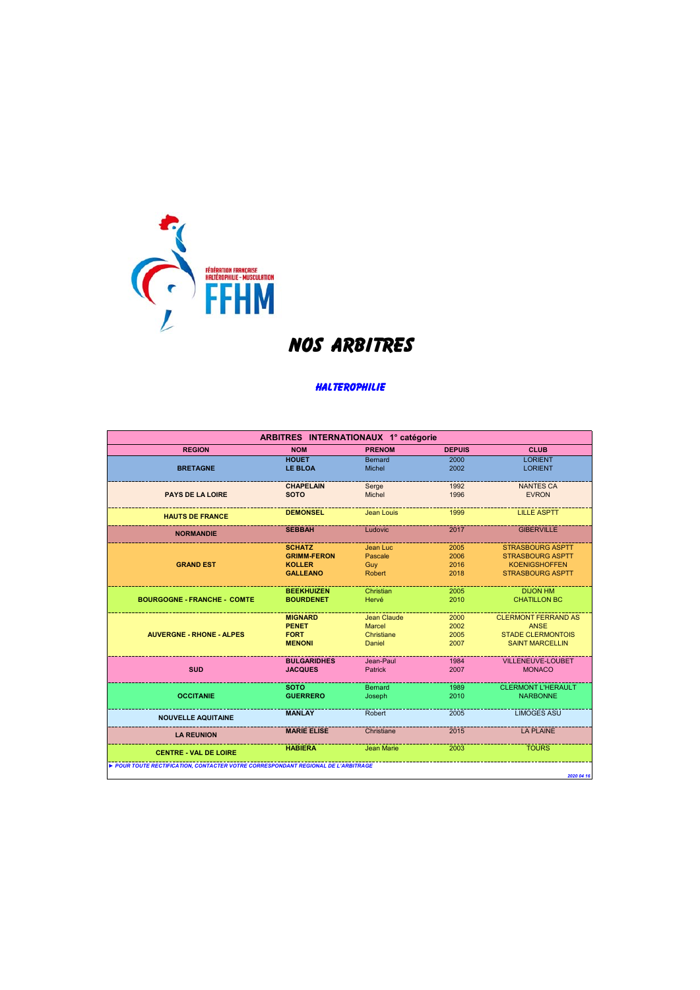

## **NOS ARBITRES**

## **HALTEROPHILIE**

| ARBITRES INTERNATIONAUX 1° catégorie                                            |                                     |                          |               |                                                    |  |
|---------------------------------------------------------------------------------|-------------------------------------|--------------------------|---------------|----------------------------------------------------|--|
| <b>REGION</b>                                                                   | <b>NOM</b>                          | <b>PRENOM</b>            | <b>DEPUIS</b> | <b>CLUB</b>                                        |  |
|                                                                                 | <b>HOUET</b>                        | <b>Bernard</b>           | 2000          | <b>LORIENT</b>                                     |  |
| <b>BRETAGNE</b>                                                                 | <b>LE BLOA</b>                      | Michel                   | 2002          | <b>LORIENT</b>                                     |  |
|                                                                                 |                                     |                          |               |                                                    |  |
| <b>PAYS DE LA LOIRE</b>                                                         | <b>CHAPELAIN</b><br><b>SOTO</b>     | Serge<br>Michel          | 1992<br>1996  | <b>NANTES CA</b><br><b>EVRON</b>                   |  |
|                                                                                 |                                     |                          |               |                                                    |  |
|                                                                                 | <b>DEMONSEL</b>                     | Jean Louis               | 1999          | <b>LILLE ASPTT</b>                                 |  |
| <b>HAUTS DE FRANCE</b>                                                          |                                     |                          |               |                                                    |  |
| <b>NORMANDIE</b>                                                                | <b>SEBBAH</b>                       | Ludovic                  | 2017          | <b>GIBERVILLE</b>                                  |  |
|                                                                                 |                                     |                          |               |                                                    |  |
|                                                                                 | <b>SCHATZ</b><br><b>GRIMM-FERON</b> | Jean Luc<br>Pascale      | 2005<br>2006  | <b>STRASBOURG ASPTT</b><br><b>STRASBOURG ASPTT</b> |  |
| <b>GRAND EST</b>                                                                | <b>KOLLER</b>                       | Guy                      | 2016          | <b>KOENIGSHOFFEN</b>                               |  |
|                                                                                 | <b>GALLEANO</b>                     | Robert                   | 2018          | <b>STRASBOURG ASPTT</b>                            |  |
|                                                                                 |                                     |                          |               |                                                    |  |
|                                                                                 | <b>BEEKHUIZEN</b>                   | Christian                | 2005          | <b>DIJON HM</b>                                    |  |
| <b>BOURGOGNE - FRANCHE - COMTE</b>                                              | <b>BOURDENET</b>                    | Hervé                    | 2010          | <b>CHATILLON BC</b>                                |  |
|                                                                                 |                                     | Jean Claude              |               |                                                    |  |
|                                                                                 | <b>MIGNARD</b><br><b>PENET</b>      | <b>Marcel</b>            | 2000<br>2002  | <b>CLERMONT FERRAND AS</b><br><b>ANSE</b>          |  |
| <b>AUVERGNE - RHONE - ALPES</b>                                                 | <b>FORT</b>                         | Christiane               | 2005          | <b>STADE CLERMONTOIS</b>                           |  |
|                                                                                 | <b>MENONI</b>                       | Daniel                   | 2007          | <b>SAINT MARCELLIN</b>                             |  |
|                                                                                 |                                     |                          |               |                                                    |  |
|                                                                                 | <b>BULGARIDHES</b>                  | Jean-Paul                | 1984          | <b>VILLENEUVE-LOUBET</b>                           |  |
| <b>SUD</b>                                                                      | <b>JACQUES</b>                      | <b>Patrick</b>           | 2007          | <b>MONACO</b>                                      |  |
|                                                                                 |                                     |                          |               | <b>CLERMONT L'HERAULT</b>                          |  |
| <b>OCCITANIE</b>                                                                | <b>SOTO</b><br><b>GUERRERO</b>      | <b>Bernard</b><br>Joseph | 1989<br>2010  | <b>NARBONNE</b>                                    |  |
|                                                                                 |                                     |                          |               |                                                    |  |
|                                                                                 | <b>MANLAY</b>                       | Robert                   | 2005          | <b>LIMOGES ASU</b>                                 |  |
| <b>NOUVELLE AQUITAINE</b>                                                       |                                     |                          |               |                                                    |  |
| <b>LA REUNION</b>                                                               | <b>MARIE ELISE</b>                  | Christiane               | 2015          | <b>LA PLAINE</b>                                   |  |
|                                                                                 | <b>HABIERA</b>                      | Jean Marie               | 2003          | <b>TOURS</b>                                       |  |
| <b>CENTRE - VAL DE LOIRE</b>                                                    |                                     |                          |               |                                                    |  |
| POUR TOUTE RECTIFICATION, CONTACTER VOTRE CORRESPONDANT REGIONAL DE L'ARBITRAGE |                                     |                          |               |                                                    |  |
|                                                                                 |                                     |                          |               | 2020 04 16                                         |  |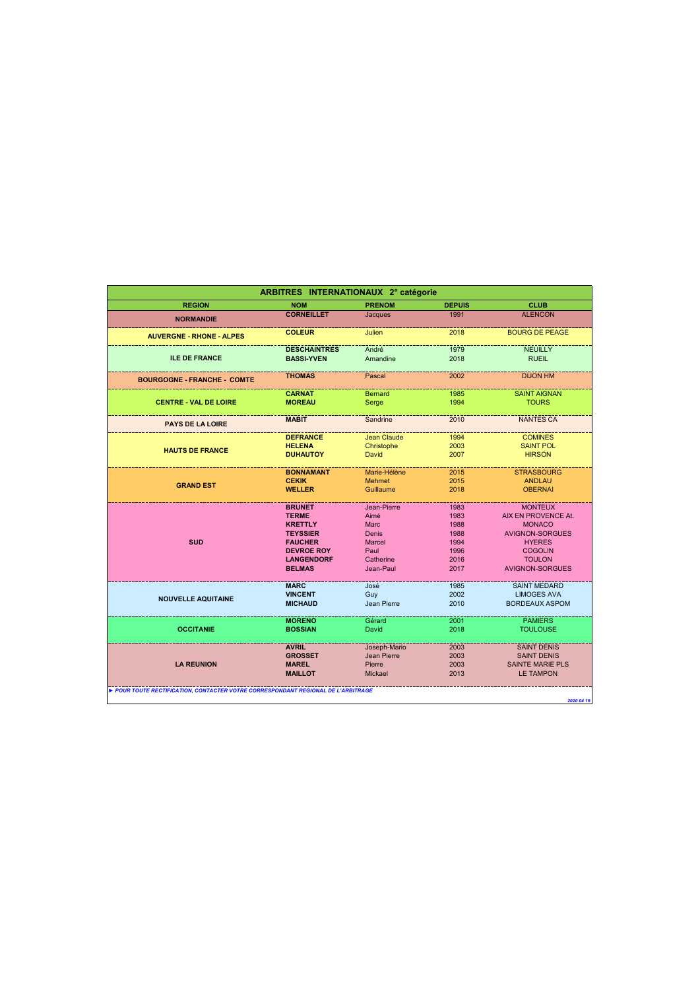| ARBITRES INTERNATIONAUX 2° catégorie                                            |                     |                    |               |                         |  |
|---------------------------------------------------------------------------------|---------------------|--------------------|---------------|-------------------------|--|
| <b>REGION</b>                                                                   | <b>NOM</b>          | <b>PRENOM</b>      | <b>DEPUIS</b> | <b>CLUB</b>             |  |
| <b>NORMANDIE</b>                                                                | <b>CORNEILLET</b>   | Jacques            | 1991          | <b>ALENCON</b>          |  |
| <b>AUVERGNE - RHONE - ALPES</b>                                                 | <b>COLEUR</b>       | Julien             | 2018          | <b>BOURG DE PEAGE</b>   |  |
|                                                                                 | <b>DESCHAINTRES</b> | André              | 1979          | <b>NEUILLY</b>          |  |
| <b>ILE DE FRANCE</b>                                                            | <b>BASSI-YVEN</b>   | Amandine           | 2018          | <b>RUEIL</b>            |  |
| <b>BOURGOGNE - FRANCHE - COMTE</b>                                              | <b>THOMAS</b>       | Pascal             | 2002          | <b>DIJON HM</b>         |  |
|                                                                                 | <b>CARNAT</b>       | <b>Bernard</b>     | 1985          | <b>SAINT AIGNAN</b>     |  |
| <b>CENTRE - VAL DE LOIRE</b>                                                    | <b>MOREAU</b>       | Serge              | 1994          | <b>TOURS</b>            |  |
| <b>PAYS DE LA LOIRE</b>                                                         | <b>MABIT</b>        | Sandrine           | 2010          | <b>NANTES CA</b>        |  |
|                                                                                 | <b>DEFRANCE</b>     | <b>Jean Claude</b> | 1994          | <b>COMINES</b>          |  |
| <b>HAUTS DE FRANCE</b>                                                          | <b>HELENA</b>       | Christophe         | 2003          | <b>SAINT POL</b>        |  |
|                                                                                 | <b>DUHAUTOY</b>     | David              | 2007          | <b>HIRSON</b>           |  |
|                                                                                 | <b>BONNAMANT</b>    | Marie-Hélène       | 2015          | <b>STRASBOURG</b>       |  |
| <b>GRAND EST</b>                                                                | <b>CEKIK</b>        | <b>Mehmet</b>      | 2015          | <b>ANDLAU</b>           |  |
|                                                                                 | <b>WELLER</b>       | Guillaume          | 2018          | <b>OBERNAI</b>          |  |
|                                                                                 | <b>BRUNET</b>       | Jean-Pierre        | 1983          | <b>MONTEUX</b>          |  |
|                                                                                 | <b>TERME</b>        | Aimé               | 1983          | AIX EN PROVENCE At.     |  |
|                                                                                 | <b>KRETTLY</b>      | <b>Marc</b>        | 1988          | <b>MONACO</b>           |  |
|                                                                                 | <b>TEYSSIER</b>     | <b>Denis</b>       | 1988          | <b>AVIGNON-SORGUES</b>  |  |
| <b>SUD</b>                                                                      | <b>FAUCHER</b>      | <b>Marcel</b>      | 1994          | <b>HYERES</b>           |  |
|                                                                                 | <b>DEVROE ROY</b>   | Paul               | 1996          | <b>COGOLIN</b>          |  |
|                                                                                 | <b>LANGENDORF</b>   | Catherine          | 2016          | <b>TOULON</b>           |  |
|                                                                                 | <b>BELMAS</b>       | Jean-Paul          | 2017          | <b>AVIGNON-SORGUES</b>  |  |
|                                                                                 | <b>MARC</b>         | José               | 1985          | <b>SAINT MEDARD</b>     |  |
| <b>NOUVELLE AQUITAINE</b>                                                       | <b>VINCENT</b>      | Guy                | 2002          | <b>LIMOGES AVA</b>      |  |
|                                                                                 | <b>MICHAUD</b>      | Jean Pierre        | 2010          | <b>BORDEAUX ASPOM</b>   |  |
|                                                                                 | <b>MORENO</b>       | Gérard             | 2001          | <b>PAMIERS</b>          |  |
| <b>OCCITANIE</b>                                                                | <b>BOSSIAN</b>      | David              | 2018          | <b>TOULOUSE</b>         |  |
|                                                                                 | <b>AVRIL</b>        | Joseph-Mario       | 2003          | <b>SAINT DENIS</b>      |  |
|                                                                                 | <b>GROSSET</b>      | Jean Pierre        | 2003          | <b>SAINT DENIS</b>      |  |
| <b>LA REUNION</b>                                                               | <b>MAREL</b>        | Pierre             | 2003          | <b>SAINTE MARIE PLS</b> |  |
|                                                                                 | <b>MAILLOT</b>      | <b>Mickael</b>     | 2013          | <b>LE TAMPON</b>        |  |
| POUR TOUTE RECTIFICATION, CONTACTER VOTRE CORRESPONDANT REGIONAL DE L'ARBITRAGE |                     |                    |               |                         |  |
|                                                                                 |                     |                    |               | 2020 04 16              |  |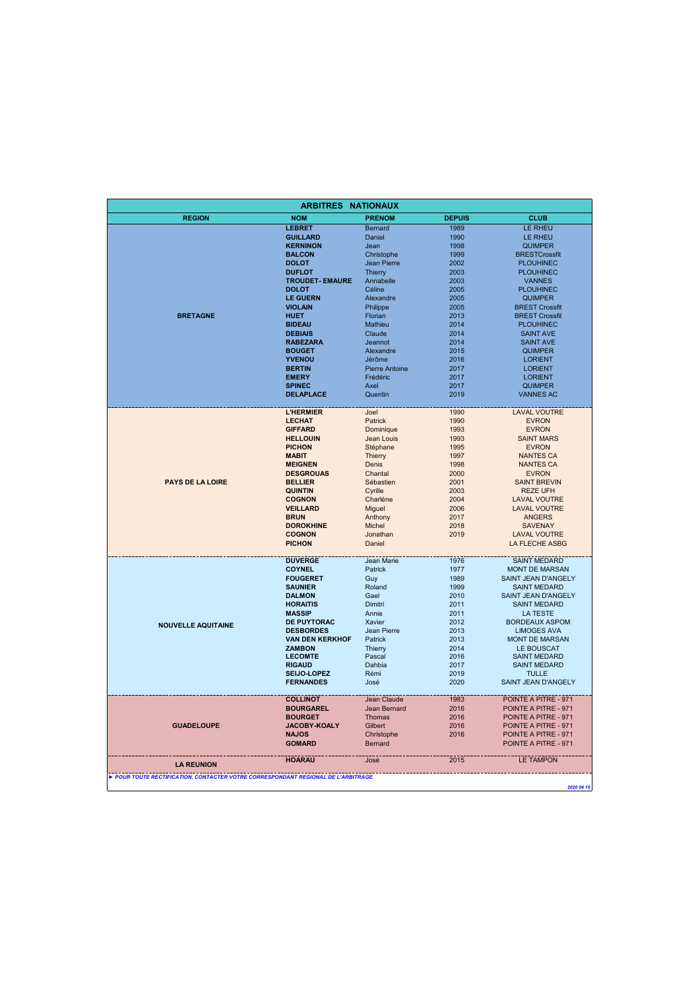|                                                                                               | <b>ARBITRES NATIONAUX</b> |                       |               |                                             |  |  |
|-----------------------------------------------------------------------------------------------|---------------------------|-----------------------|---------------|---------------------------------------------|--|--|
| <b>REGION</b>                                                                                 | <b>NOM</b>                | <b>PRENOM</b>         | <b>DEPUIS</b> | <b>CLUB</b>                                 |  |  |
|                                                                                               | <b>LEBRET</b>             | <b>Bernard</b>        | 1989          | <b>LE RHEU</b>                              |  |  |
|                                                                                               | <b>GUILLARD</b>           | Daniel                | 1990          | <b>LE RHEU</b>                              |  |  |
|                                                                                               | <b>KERNINON</b>           | Jean                  | 1998          | <b>QUIMPER</b>                              |  |  |
|                                                                                               | <b>BALCON</b>             | Christophe            | 1999          | <b>BRESTCrossfit</b>                        |  |  |
|                                                                                               | <b>DOLOT</b>              | Jean Pierre           | 2002          | <b>PLOUHINEC</b>                            |  |  |
|                                                                                               | <b>DUFLOT</b>             | Thierry               | 2003          | <b>PLOUHINEC</b>                            |  |  |
|                                                                                               | <b>TROUDET- EMAURE</b>    | Annabelle             | 2003          | <b>VANNES</b>                               |  |  |
|                                                                                               | <b>DOLOT</b>              | Céline                | 2005          | <b>PLOUHINEC</b>                            |  |  |
|                                                                                               | <b>LE GUERN</b>           | Alexandre             | 2005          | <b>QUIMPER</b>                              |  |  |
|                                                                                               | <b>VIOLAIN</b>            | Philippe              | 2005          | <b>BREST Crossfit</b>                       |  |  |
| <b>BRETAGNE</b>                                                                               | <b>HUET</b>               | Florian               | 2013          | <b>BREST Crossfit</b>                       |  |  |
|                                                                                               | <b>BIDEAU</b>             | Mathieu               | 2014          | <b>PLOUHINEC</b>                            |  |  |
|                                                                                               | <b>DEBIAIS</b>            | Claude                | 2014          | <b>SAINT AVE</b>                            |  |  |
|                                                                                               | <b>RABEZARA</b>           | Jeannot               | 2014          | <b>SAINT AVE</b>                            |  |  |
|                                                                                               | <b>BOUGET</b>             | Alexandre             | 2015          | <b>QUIMPER</b>                              |  |  |
|                                                                                               | <b>YVENOU</b>             | Jérôme                | 2016          | <b>LORIENT</b>                              |  |  |
|                                                                                               | <b>BERTIN</b>             | <b>Pierre Antoine</b> | 2017          | <b>LORIENT</b>                              |  |  |
|                                                                                               | <b>EMERY</b>              | Frédéric              | 2017          | <b>LORIENT</b>                              |  |  |
|                                                                                               | <b>SPINEC</b>             | Axel                  | 2017          | <b>QUIMPER</b>                              |  |  |
|                                                                                               | <b>DELAPLACE</b>          | Quentin               | 2019          | <b>VANNES AC</b>                            |  |  |
|                                                                                               |                           |                       |               |                                             |  |  |
|                                                                                               | <b>L'HERMIER</b>          | Joel                  | 1990          | <b>LAVAL VOUTRE</b>                         |  |  |
|                                                                                               | <b>LECHAT</b>             | Patrick               | 1990          | <b>EVRON</b>                                |  |  |
|                                                                                               | <b>GIFFARD</b>            | Dominique             | 1993          | <b>EVRON</b>                                |  |  |
|                                                                                               | <b>HELLOUIN</b>           | Jean Louis            | 1993          | <b>SAINT MARS</b>                           |  |  |
|                                                                                               | <b>PICHON</b>             | Stéphane              | 1995          | <b>EVRON</b>                                |  |  |
|                                                                                               | <b>MABIT</b>              | <b>Thierry</b>        | 1997          | <b>NANTES CA</b>                            |  |  |
|                                                                                               | <b>MEIGNEN</b>            | Denis                 | 1998          | <b>NANTES CA</b>                            |  |  |
|                                                                                               | <b>DESGROUAS</b>          | Chantal               | 2000          | <b>EVRON</b>                                |  |  |
| <b>PAYS DE LA LOIRE</b>                                                                       | <b>BELLIER</b>            | Sébastien             | 2001          | <b>SAINT BREVIN</b>                         |  |  |
|                                                                                               | <b>QUINTIN</b>            | Cyrille               | 2003          | <b>REZE UFH</b>                             |  |  |
|                                                                                               | <b>COGNON</b>             | Charléne              | 2004          | <b>LAVAL VOUTRE</b>                         |  |  |
|                                                                                               | <b>VEILLARD</b>           | Miguel                | 2006          | <b>LAVAL VOUTRE</b>                         |  |  |
|                                                                                               | <b>BRUN</b>               | Anthony               | 2017          | <b>ANGERS</b>                               |  |  |
|                                                                                               | <b>DOROKHINE</b>          | Michel                | 2018          | <b>SAVENAY</b>                              |  |  |
|                                                                                               | <b>COGNON</b>             | Jonathan              | 2019          | <b>LAVAL VOUTRE</b>                         |  |  |
|                                                                                               | <b>PICHON</b>             | Daniel                |               | LA FLECHE ASBG                              |  |  |
|                                                                                               | <b>DUVERGE</b>            | Jean Marie            | 1976          | <b>SAINT MEDARD</b>                         |  |  |
|                                                                                               | <b>COYNEL</b>             | Patrick               | 1977          | <b>MONT DE MARSAN</b>                       |  |  |
|                                                                                               | <b>FOUGERET</b>           | Guy                   | 1989          | SAINT JEAN D'ANGELY                         |  |  |
|                                                                                               | <b>SAUNIER</b>            | Roland                | 1999          | <b>SAINT MEDARD</b>                         |  |  |
|                                                                                               | <b>DALMON</b>             | Gael                  | 2010          | SAINT JEAN D'ANGELY                         |  |  |
|                                                                                               | <b>HORAITIS</b>           | Dimitri               | 2011          | <b>SAINT MEDARD</b>                         |  |  |
|                                                                                               | <b>MASSIP</b>             | Annie                 | 2011          | <b>LA TESTE</b>                             |  |  |
|                                                                                               | <b>DE PUYTORAC</b>        | Xavier                | 2012          | <b>BORDEAUX ASPOM</b>                       |  |  |
| <b>NOUVELLE AQUITAINE</b>                                                                     | <b>DESBORDES</b>          | Jean Pierre           | 2013          |                                             |  |  |
|                                                                                               | <b>VAN DEN KERKHOF</b>    | Patrick               | 2013          | <b>LIMOGES AVA</b><br><b>MONT DE MARSAN</b> |  |  |
|                                                                                               | <b>ZAMBON</b>             |                       | 2014          | LE BOUSCAT                                  |  |  |
|                                                                                               | <b>LECOMTE</b>            | Thierry<br>Pascal     | 2016          |                                             |  |  |
|                                                                                               | <b>RIGAUD</b>             | Dahbia                | 2017          | <b>SAINT MEDARD</b><br><b>SAINT MEDARD</b>  |  |  |
|                                                                                               | SEIJO-LOPEZ               | Rémi                  | 2019          | <b>TULLE</b>                                |  |  |
|                                                                                               | <b>FERNANDES</b>          | José                  | 2020          | SAINT JEAN D'ANGELY                         |  |  |
|                                                                                               |                           |                       |               |                                             |  |  |
|                                                                                               | <b>COLLINOT</b>           | Jean Claude           | 1983          | POINTE A PITRE - 971                        |  |  |
|                                                                                               | <b>BOURGAREL</b>          | Jean Bernard          | 2016          | POINTE A PITRE - 971                        |  |  |
|                                                                                               | <b>BOURGET</b>            | <b>Thomas</b>         | 2016          | POINTE A PITRE - 971                        |  |  |
| <b>GUADELOUPE</b>                                                                             | JACOBY-KOALY              | Gilbert               | 2016          | POINTE A PITRE - 971                        |  |  |
|                                                                                               | <b>NAJOS</b>              | Christophe            | 2016          | POINTE A PITRE - 971                        |  |  |
|                                                                                               | <b>GOMARD</b>             | <b>Bernard</b>        |               | POINTE A PITRE - 971                        |  |  |
|                                                                                               |                           |                       |               |                                             |  |  |
| <b>LA REUNION</b>                                                                             | <b>HOARAU</b>             | José                  | 2015          | <b>LE TAMPON</b>                            |  |  |
| POUR TOUTE RECTIFICATION, CONTACTER VOTRE CORRESPONDANT REGIONAL DE L'ARBITRAGE<br>2020 04 16 |                           |                       |               |                                             |  |  |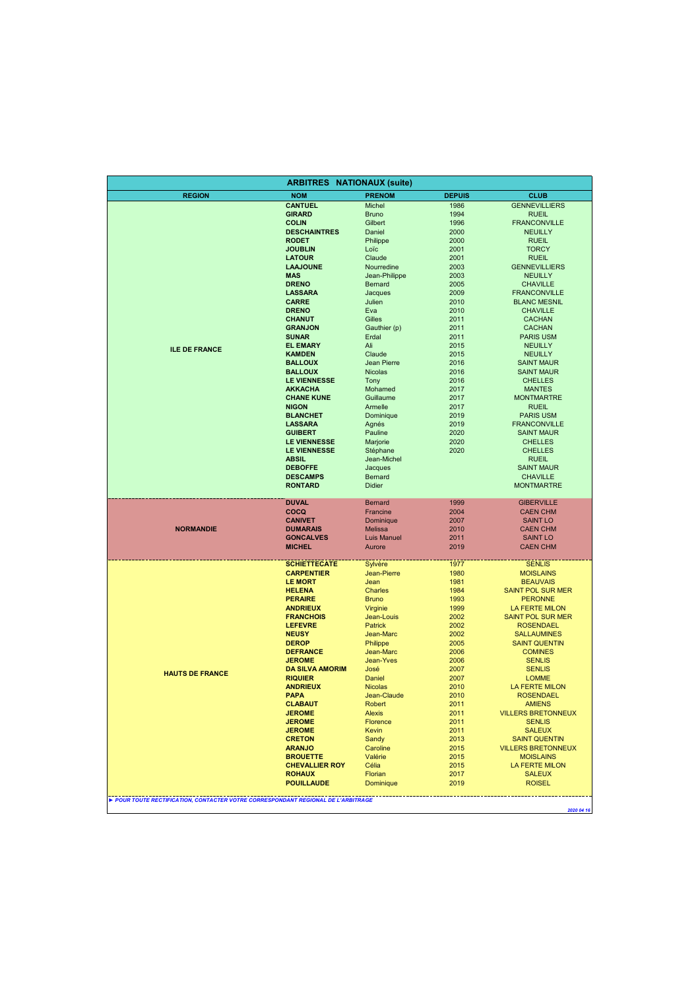| <b>ARBITRES NATIONAUX (suite)</b>                                               |                                          |                                      |               |                                             |  |
|---------------------------------------------------------------------------------|------------------------------------------|--------------------------------------|---------------|---------------------------------------------|--|
| <b>REGION</b>                                                                   | <b>NOM</b>                               | <b>PRENOM</b>                        | <b>DEPUIS</b> | <b>CLUB</b>                                 |  |
|                                                                                 | <b>CANTUEL</b>                           | Michel                               | 1986          | <b>GENNEVILLIERS</b>                        |  |
|                                                                                 | <b>GIRARD</b>                            | <b>Bruno</b>                         | 1994          | <b>RUEIL</b>                                |  |
|                                                                                 | <b>COLIN</b>                             | Gilbert                              | 1996          | <b>FRANCONVILLE</b>                         |  |
|                                                                                 | <b>DESCHAINTRES</b>                      | Daniel                               | 2000          | <b>NEUILLY</b>                              |  |
|                                                                                 | <b>RODET</b>                             | Philippe                             | 2000          | <b>RUEIL</b>                                |  |
|                                                                                 | <b>JOUBLIN</b><br><b>LATOUR</b>          | Loïc<br>Claude                       | 2001<br>2001  | <b>TORCY</b><br><b>RUEIL</b>                |  |
|                                                                                 | <b>LAAJOUNE</b>                          | Nourredine                           | 2003          | <b>GENNEVILLIERS</b>                        |  |
|                                                                                 | <b>MAS</b>                               | Jean-Philippe                        | 2003          | <b>NEUILLY</b>                              |  |
|                                                                                 | <b>DRENO</b>                             | Bernard                              | 2005          | <b>CHAVILLE</b>                             |  |
|                                                                                 | <b>LASSARA</b>                           | Jacques                              | 2009          | <b>FRANCONVILLE</b>                         |  |
|                                                                                 | <b>CARRE</b>                             | Julien                               | 2010          | <b>BLANC MESNIL</b>                         |  |
|                                                                                 | <b>DRENO</b>                             | Eva                                  | 2010          | <b>CHAVILLE</b>                             |  |
|                                                                                 | <b>CHANUT</b>                            | Gilles                               | 2011          | <b>CACHAN</b>                               |  |
|                                                                                 | <b>GRANJON</b>                           | Gauthier (p)                         | 2011          | <b>CACHAN</b>                               |  |
|                                                                                 | <b>SUNAR</b>                             | Erdal                                | 2011          | <b>PARIS USM</b>                            |  |
| <b>ILE DE FRANCE</b>                                                            | <b>EL EMARY</b>                          | Ali                                  | 2015          | <b>NEUILLY</b>                              |  |
|                                                                                 | <b>KAMDEN</b>                            | Claude                               | 2015          | <b>NEUILLY</b>                              |  |
|                                                                                 | <b>BALLOUX</b>                           | Jean Pierre                          | 2016          | <b>SAINT MAUR</b>                           |  |
|                                                                                 | <b>BALLOUX</b>                           | <b>Nicolas</b>                       | 2016          | <b>SAINT MAUR</b>                           |  |
|                                                                                 | <b>LE VIENNESSE</b>                      | Tony                                 | 2016          | <b>CHELLES</b>                              |  |
|                                                                                 | <b>AKKACHA</b>                           | Mohamed                              | 2017          | <b>MANTES</b>                               |  |
|                                                                                 | <b>CHANE KUNE</b><br><b>NIGON</b>        | Guillaume<br>Armelle                 | 2017<br>2017  | <b>MONTMARTRE</b><br><b>RUEIL</b>           |  |
|                                                                                 | <b>BLANCHET</b>                          | Dominique                            | 2019          | <b>PARIS USM</b>                            |  |
|                                                                                 | <b>LASSARA</b>                           | Agnés                                | 2019          | <b>FRANCONVILLE</b>                         |  |
|                                                                                 | <b>GUIBERT</b>                           | Pauline                              | 2020          | <b>SAINT MAUR</b>                           |  |
|                                                                                 | <b>LE VIENNESSE</b>                      | Marjorie                             | 2020          | <b>CHELLES</b>                              |  |
|                                                                                 | <b>LE VIENNESSE</b>                      | Stéphane                             | 2020          | <b>CHELLES</b>                              |  |
|                                                                                 | <b>ABSIL</b>                             | Jean-Michel                          |               | <b>RUEIL</b>                                |  |
|                                                                                 | <b>DEBOFFE</b>                           | Jacques                              |               | <b>SAINT MAUR</b>                           |  |
|                                                                                 | <b>DESCAMPS</b>                          | <b>Bernard</b>                       |               | <b>CHAVILLE</b>                             |  |
|                                                                                 | <b>RONTARD</b>                           | <b>Didier</b>                        |               | <b>MONTMARTRE</b>                           |  |
|                                                                                 | <b>DUVAL</b>                             | <b>Bernard</b>                       | 1999          | <b>GIBERVILLE</b>                           |  |
|                                                                                 | COCQ                                     | Francine                             | 2004          | <b>CAEN CHM</b>                             |  |
|                                                                                 | <b>CANIVET</b>                           | Dominique                            | 2007          | <b>SAINT LO</b>                             |  |
| <b>NORMANDIE</b>                                                                | <b>DUMARAIS</b><br><b>GONCALVES</b>      | <b>Melissa</b><br><b>Luis Manuel</b> | 2010<br>2011  | <b>CAEN CHM</b><br><b>SAINT LO</b>          |  |
|                                                                                 | <b>MICHEL</b>                            | Aurore                               | 2019          | <b>CAEN CHM</b>                             |  |
|                                                                                 |                                          |                                      |               |                                             |  |
|                                                                                 | <b>SCHIETTECATE</b>                      | Sylvère                              | 1977          | <b>SENLIS</b>                               |  |
|                                                                                 | <b>CARPENTIER</b><br><b>LE MORT</b>      | Jean-Pierre                          | 1980<br>1981  | <b>MOISLAINS</b>                            |  |
|                                                                                 | <b>HELENA</b>                            | Jean<br>Charles                      | 1984          | <b>BEAUVAIS</b><br><b>SAINT POL SUR MER</b> |  |
|                                                                                 | <b>PERAIRE</b>                           | <b>Bruno</b>                         | 1993          | <b>PERONNE</b>                              |  |
|                                                                                 | <b>ANDRIEUX</b>                          | Virginie                             | 1999          | <b>LA FERTE MILON</b>                       |  |
|                                                                                 | <b>FRANCHOIS</b>                         | Jean-Louis                           | 2002          | <b>SAINT POL SUR MER</b>                    |  |
|                                                                                 | <b>LEFEVRE</b>                           | <b>Patrick</b>                       | 2002          | <b>ROSENDAEL</b>                            |  |
|                                                                                 | <b>NEUSY</b>                             | Jean-Marc                            | 2002          | <b>SALLAUMINES</b>                          |  |
|                                                                                 | <b>DEROP</b>                             | Philippe                             | 2005          | <b>SAINT QUENTIN</b>                        |  |
|                                                                                 | <b>DEFRANCE</b>                          | Jean-Marc                            | 2006          | <b>COMINES</b>                              |  |
|                                                                                 | <b>JEROME</b>                            | Jean-Yves                            | 2006          | <b>SENLIS</b>                               |  |
| <b>HAUTS DE FRANCE</b>                                                          | <b>DA SILVA AMORIM</b><br><b>RIQUIER</b> | José<br>Daniel                       | 2007<br>2007  | <b>SENLIS</b><br><b>LOMME</b>               |  |
|                                                                                 | <b>ANDRIEUX</b>                          | <b>Nicolas</b>                       | 2010          | LA FERTE MILON                              |  |
|                                                                                 | <b>PAPA</b>                              | Jean-Claude                          | 2010          | <b>ROSENDAEL</b>                            |  |
|                                                                                 | <b>CLABAUT</b>                           | Robert                               | 2011          | <b>AMIENS</b>                               |  |
|                                                                                 | <b>JEROME</b>                            | <b>Alexis</b>                        | 2011          | <b>VILLERS BRETONNEUX</b>                   |  |
|                                                                                 | <b>JEROME</b>                            | <b>Florence</b>                      | 2011          | <b>SENLIS</b>                               |  |
|                                                                                 | <b>JEROME</b>                            | Kevin                                | 2011          | <b>SALEUX</b>                               |  |
|                                                                                 | <b>CRETON</b>                            | Sandy                                | 2013          | <b>SAINT QUENTIN</b>                        |  |
|                                                                                 | <b>ARANJO</b>                            | Caroline                             | 2015          | <b>VILLERS BRETONNEUX</b>                   |  |
|                                                                                 | <b>BROUETTE</b><br><b>CHEVALLIER ROY</b> | Valérie<br>Célia                     | 2015<br>2015  | <b>MOISLAINS</b><br>LA FERTE MILON          |  |
|                                                                                 | <b>ROHAUX</b>                            | Florian                              | 2017          | <b>SALEUX</b>                               |  |
|                                                                                 | <b>POUILLAUDE</b>                        | Dominique                            | 2019          | <b>ROISEL</b>                               |  |
|                                                                                 |                                          |                                      |               |                                             |  |
| POUR TOUTE RECTIFICATION, CONTACTER VOTRE CORRESPONDANT REGIONAL DE L'ARBITRAGE |                                          |                                      |               | 2020 04 16                                  |  |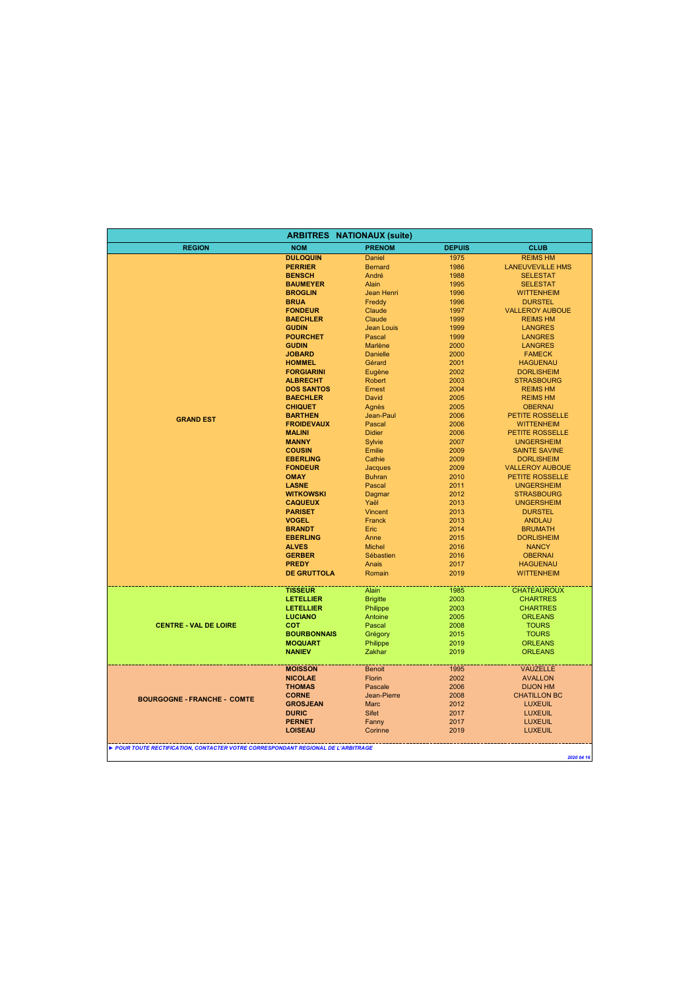| <b>ARBITRES NATIONAUX (suite)</b>                                               |                                 |                             |               |                                  |  |
|---------------------------------------------------------------------------------|---------------------------------|-----------------------------|---------------|----------------------------------|--|
| <b>REGION</b>                                                                   | <b>NOM</b>                      | <b>PRENOM</b>               | <b>DEPUIS</b> | <b>CLUB</b>                      |  |
|                                                                                 | <b>DULOQUIN</b>                 | Daniel                      | 1975          | <b>REIMS HM</b>                  |  |
|                                                                                 | <b>PERRIER</b>                  | <b>Bernard</b>              | 1986          | <b>LANEUVEVILLE HMS</b>          |  |
|                                                                                 | <b>BENSCH</b>                   | André                       | 1988          | <b>SELESTAT</b>                  |  |
|                                                                                 | <b>BAUMEYER</b>                 | Alain                       | 1995          | <b>SELESTAT</b>                  |  |
|                                                                                 | <b>BROGLIN</b>                  | Jean Henri                  | 1996          | <b>WITTENHEIM</b>                |  |
|                                                                                 | <b>BRUA</b>                     | Freddy                      | 1996          | <b>DURSTEL</b>                   |  |
|                                                                                 | <b>FONDEUR</b>                  | Claude                      | 1997          | <b>VALLEROY AUBOUE</b>           |  |
|                                                                                 | <b>BAECHLER</b>                 | Claude                      | 1999          | <b>REIMS HM</b>                  |  |
|                                                                                 | <b>GUDIN</b><br><b>POURCHET</b> | <b>Jean Louis</b><br>Pascal | 1999<br>1999  | <b>LANGRES</b><br><b>LANGRES</b> |  |
|                                                                                 | <b>GUDIN</b>                    | Marlène                     | 2000          | <b>LANGRES</b>                   |  |
|                                                                                 | <b>JOBARD</b>                   | <b>Danielle</b>             | 2000          | <b>FAMECK</b>                    |  |
|                                                                                 | <b>HOMMEL</b>                   | Gérard                      | 2001          | <b>HAGUENAU</b>                  |  |
|                                                                                 | <b>FORGIARINI</b>               | Eugène                      | 2002          | <b>DORLISHEIM</b>                |  |
|                                                                                 | <b>ALBRECHT</b>                 | Robert                      | 2003          | <b>STRASBOURG</b>                |  |
|                                                                                 | <b>DOS SANTOS</b>               | Ernest                      | 2004          | <b>REIMS HM</b>                  |  |
|                                                                                 | <b>BAECHLER</b>                 | David                       | 2005          | <b>REIMS HM</b>                  |  |
|                                                                                 | <b>CHIQUET</b>                  | Agnès                       | 2005          | <b>OBERNAI</b>                   |  |
|                                                                                 | <b>BARTHEN</b>                  | Jean-Paul                   | 2006          | <b>PETITE ROSSELLE</b>           |  |
| <b>GRAND EST</b>                                                                | <b>FROIDEVAUX</b>               | Pascal                      | 2006          | <b>WITTENHEIM</b>                |  |
|                                                                                 | <b>MALINI</b>                   | <b>Didier</b>               | 2006          | <b>PETITE ROSSELLE</b>           |  |
|                                                                                 | <b>MANNY</b>                    | Sylvie                      | 2007          | <b>UNGERSHEIM</b>                |  |
|                                                                                 | <b>COUSIN</b>                   | Emilie                      | 2009          | <b>SAINTE SAVINE</b>             |  |
|                                                                                 | <b>EBERLING</b>                 | Cathie                      | 2009          | <b>DORLISHEIM</b>                |  |
|                                                                                 | <b>FONDEUR</b>                  | Jacques                     | 2009          | <b>VALLEROY AUBOUE</b>           |  |
|                                                                                 | <b>OMAY</b>                     | <b>Buhran</b>               | 2010          | PETITE ROSSELLE                  |  |
|                                                                                 | <b>LASNE</b>                    | Pascal                      | 2011          | <b>UNGERSHEIM</b>                |  |
|                                                                                 | <b>WITKOWSKI</b>                | Dagmar                      | 2012          | <b>STRASBOURG</b>                |  |
|                                                                                 | <b>CAQUEUX</b>                  | Yaël                        | 2013          | <b>UNGERSHEIM</b>                |  |
|                                                                                 | <b>PARISET</b>                  | Vincent                     | 2013          | <b>DURSTEL</b>                   |  |
|                                                                                 | <b>VOGEL</b>                    | Franck                      | 2013          | <b>ANDLAU</b>                    |  |
|                                                                                 | <b>BRANDT</b>                   | Eric                        | 2014          | <b>BRUMATH</b>                   |  |
|                                                                                 | <b>EBERLING</b>                 | Anne                        | 2015          | <b>DORLISHEIM</b>                |  |
|                                                                                 | <b>ALVES</b>                    | <b>Michel</b>               | 2016          | <b>NANCY</b>                     |  |
|                                                                                 | <b>GERBER</b>                   | Sébastien                   | 2016          | <b>OBERNAI</b>                   |  |
|                                                                                 | <b>PREDY</b>                    | Anais                       | 2017          | <b>HAGUENAU</b>                  |  |
|                                                                                 | <b>DE GRUTTOLA</b>              | Romain                      | 2019          | <b>WITTENHEIM</b>                |  |
|                                                                                 | <b>TISSEUR</b>                  | Alain                       | 1985          | <b>CHATEAUROUX</b>               |  |
|                                                                                 | <b>LETELLIER</b>                | <b>Brigitte</b>             | 2003          | <b>CHARTRES</b>                  |  |
|                                                                                 | <b>LETELLIER</b>                | Philippe                    | 2003          | <b>CHARTRES</b>                  |  |
|                                                                                 | <b>LUCIANO</b>                  | Antoine                     | 2005          | <b>ORLEANS</b>                   |  |
| <b>CENTRE - VAL DE LOIRE</b>                                                    | COT                             | Pascal                      | 2008          | <b>TOURS</b>                     |  |
|                                                                                 | <b>BOURBONNAIS</b>              | Grégory                     | 2015          | <b>TOURS</b>                     |  |
|                                                                                 | <b>MOQUART</b>                  | Philippe                    | 2019          | <b>ORLEANS</b>                   |  |
|                                                                                 | <b>NANIEV</b>                   | Zakhar                      | 2019          | <b>ORLEANS</b>                   |  |
|                                                                                 | <b>MOISSON</b>                  | <b>Benoit</b>               | 1995          | <b>VAUZELLE</b>                  |  |
|                                                                                 | <b>NICOLAE</b>                  | Florin                      | 2002          | <b>AVALLON</b>                   |  |
|                                                                                 | <b>THOMAS</b>                   | Pascale                     | 2006          | <b>DIJON HM</b>                  |  |
| <b>BOURGOGNE - FRANCHE - COMTE</b>                                              | <b>CORNE</b>                    | Jean-Pierre                 | 2008          | <b>CHATILLON BC</b>              |  |
|                                                                                 | <b>GROSJEAN</b>                 | <b>Marc</b>                 | 2012          | <b>LUXEUIL</b>                   |  |
|                                                                                 | <b>DURIC</b>                    | <b>Sifet</b>                | 2017          | <b>LUXEUIL</b>                   |  |
|                                                                                 | <b>PERNET</b>                   | Fanny                       | 2017          | <b>LUXEUIL</b>                   |  |
|                                                                                 | <b>LOISEAU</b>                  | Corinne                     | 2019          | <b>LUXEUIL</b>                   |  |
| POUR TOUTE RECTIFICATION, CONTACTER VOTRE CORRESPONDANT REGIONAL DE L'ARBITRAGE |                                 |                             |               |                                  |  |
|                                                                                 |                                 |                             |               | 2020 04 16                       |  |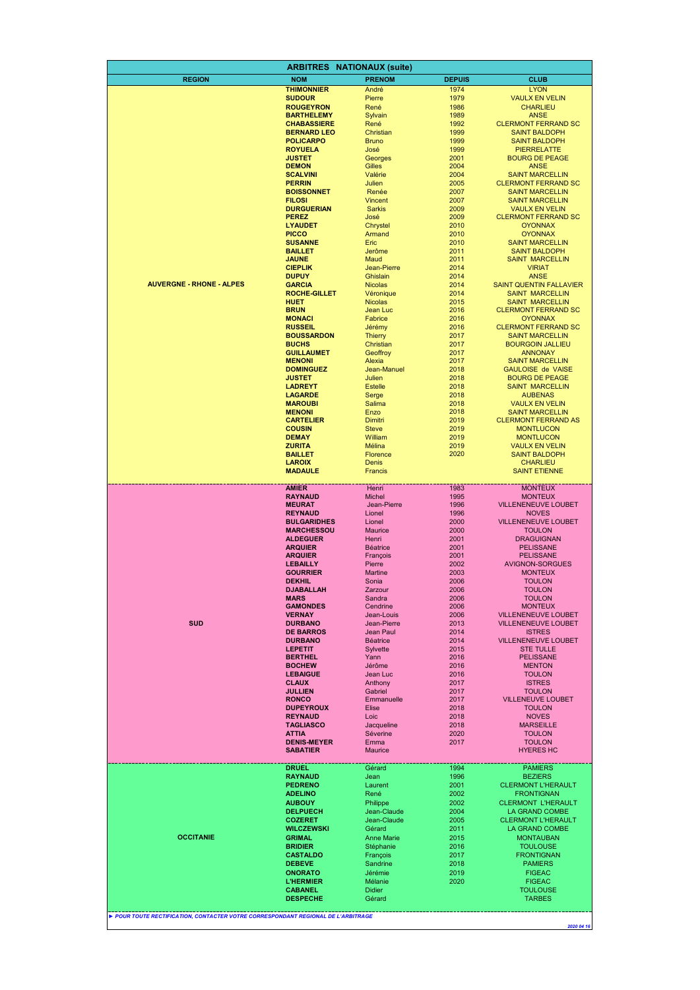|                                                                                 | <b>ARBITRES</b>                          | <b>NATIONAUX (suite)</b>     |               |                                                          |
|---------------------------------------------------------------------------------|------------------------------------------|------------------------------|---------------|----------------------------------------------------------|
| <b>REGION</b>                                                                   | <b>NOM</b>                               | <b>PRENOM</b>                | <b>DEPUIS</b> | <b>CLUB</b>                                              |
|                                                                                 | <b>THIMONNIER</b>                        | André                        | 1974          | <b>LYON</b>                                              |
|                                                                                 | <b>SUDOUR</b>                            | Pierre                       | 1979          | <b>VAULX EN VELIN</b>                                    |
|                                                                                 | <b>ROUGEYRON</b>                         | René                         | 1986          | <b>CHARLIEU</b>                                          |
|                                                                                 | <b>BARTHELEMY</b>                        | Sylvain                      | 1989          | <b>ANSE</b>                                              |
|                                                                                 | <b>CHABASSIERE</b><br><b>BERNARD LEO</b> | René<br>Christian            | 1992<br>1999  | <b>CLERMONT FERRAND SC</b><br><b>SAINT BALDOPH</b>       |
|                                                                                 | <b>POLICARPO</b>                         | <b>Bruno</b>                 | 1999          | <b>SAINT BALDOPH</b>                                     |
|                                                                                 | <b>ROYUELA</b>                           | José                         | 1999          | <b>PIERRELATTE</b>                                       |
|                                                                                 | <b>JUSTET</b>                            | Georges                      | 2001          | <b>BOURG DE PEAGE</b>                                    |
|                                                                                 | <b>DEMON</b>                             | Gilles                       | 2004          | <b>ANSE</b>                                              |
|                                                                                 | <b>SCALVINI</b><br><b>PERRIN</b>         | Valérie<br>Julien            | 2004<br>2005  | <b>SAINT MARCELLIN</b><br><b>CLERMONT FERRAND SC</b>     |
|                                                                                 | <b>BOISSONNET</b>                        | Renée                        | 2007          | <b>SAINT MARCELLIN</b>                                   |
|                                                                                 | <b>FILOSI</b>                            | Vincent                      | 2007          | <b>SAINT MARCELLIN</b>                                   |
|                                                                                 | <b>DURGUERIAN</b>                        | <b>Sarkis</b>                | 2009          | <b>VAULX EN VELIN</b>                                    |
|                                                                                 | <b>PEREZ</b>                             | José                         | 2009          | <b>CLERMONT FERRAND SC</b>                               |
|                                                                                 | <b>LYAUDET</b><br><b>PICCO</b>           | Chrystel<br>Armand           | 2010<br>2010  | <b>OYONNAX</b><br><b>OYONNAX</b>                         |
|                                                                                 | <b>SUSANNE</b>                           | Eric                         | 2010          | <b>SAINT MARCELLIN</b>                                   |
|                                                                                 | <b>BAILLET</b>                           | Jerôme                       | 2011          | <b>SAINT BALDOPH</b>                                     |
|                                                                                 | <b>JAUNE</b>                             | Maud                         | 2011          | <b>SAINT MARCELLIN</b>                                   |
|                                                                                 | <b>CIEPLIK</b>                           | Jean-Pierre                  | 2014          | <b>VIRIAT</b>                                            |
| <b>AUVERGNE - RHONE - ALPES</b>                                                 | <b>DUPUY</b>                             | Ghislain                     | 2014          | <b>ANSE</b>                                              |
|                                                                                 | <b>GARCIA</b><br><b>ROCHE-GILLET</b>     | <b>Nicolas</b><br>Véronique  | 2014<br>2014  | <b>SAINT QUENTIN FALLAVIER</b><br><b>SAINT MARCELLIN</b> |
|                                                                                 | <b>HUET</b>                              | <b>Nicolas</b>               | 2015          | <b>SAINT MARCELLIN</b>                                   |
|                                                                                 | <b>BRUN</b>                              | Jean Luc                     | 2016          | <b>CLERMONT FERRAND SC</b>                               |
|                                                                                 | <b>MONACI</b>                            | Fabrice                      | 2016          | <b>OYONNAX</b>                                           |
|                                                                                 | <b>RUSSEIL</b>                           | Jérémy                       | 2016          | <b>CLERMONT FERRAND SC</b>                               |
|                                                                                 | <b>BOUSSARDON</b><br><b>BUCHS</b>        | <b>Thierry</b><br>Christian  | 2017<br>2017  | <b>SAINT MARCELLIN</b><br><b>BOURGOIN JALLIEU</b>        |
|                                                                                 | <b>GUILLAUMET</b>                        | Geoffroy                     | 2017          | <b>ANNONAY</b>                                           |
|                                                                                 | <b>MENONI</b>                            | Alexia                       | 2017          | <b>SAINT MARCELLIN</b>                                   |
|                                                                                 | <b>DOMINGUEZ</b>                         | Jean-Manuel                  | 2018          | <b>GAULOISE de VAISE</b>                                 |
|                                                                                 | <b>JUSTET</b>                            | Julien                       | 2018          | <b>BOURG DE PEAGE</b>                                    |
|                                                                                 | <b>LADREYT</b><br><b>LAGARDE</b>         | <b>Estelle</b>               | 2018          | <b>SAINT MARCELLIN</b>                                   |
|                                                                                 | <b>MAROUBI</b>                           | Serge<br>Salima              | 2018<br>2018  | <b>AUBENAS</b><br><b>VAULX EN VELIN</b>                  |
|                                                                                 | <b>MENONI</b>                            | Enzo                         | 2018          | <b>SAINT MARCELLIN</b>                                   |
|                                                                                 | <b>CARTELIER</b>                         | Dimitri                      | 2019          | <b>CLERMONT FERRAND AS</b>                               |
|                                                                                 | <b>COUSIN</b>                            | <b>Steve</b>                 | 2019          | <b>MONTLUCON</b>                                         |
|                                                                                 | <b>DEMAY</b>                             | William                      | 2019          | <b>MONTLUCON</b>                                         |
|                                                                                 | <b>ZURITA</b><br><b>BAILLET</b>          | Mélina<br>Florence           | 2019<br>2020  | <b>VAULX EN VELIN</b><br><b>SAINT BALDOPH</b>            |
|                                                                                 | <b>LAROIX</b>                            | Denis                        |               | <b>CHARLIEU</b>                                          |
|                                                                                 | <b>MADAULE</b>                           | Francis                      |               | <b>SAINT ETIENNE</b>                                     |
|                                                                                 |                                          |                              |               |                                                          |
|                                                                                 | AMIER<br><b>RAYNAUD</b>                  | Henri<br><b>Michel</b>       | 1983<br>1995  | <b>MONTEUX</b><br><b>MONTEUX</b>                         |
|                                                                                 | <b>MEURAT</b>                            | Jean-Pierre                  | 1996          | <b>VILLENENEUVE LOUBET</b>                               |
|                                                                                 | <b>REYNAUD</b>                           | Lionel                       | 1996          | <b>NOVES</b>                                             |
|                                                                                 | <b>BULGARIDHES</b>                       | Lionel                       | 2000          | <b>VILLENENEUVE LOUBET</b>                               |
|                                                                                 | <b>MARCHESSOU</b>                        | <b>Maurice</b>               | 2000          | <b>TOULON</b>                                            |
|                                                                                 | <b>ALDEGUER</b><br><b>ARQUIER</b>        | Henri<br><b>Béatrice</b>     | 2001<br>2001  | <b>DRAGUIGNAN</b><br><b>PELISSANE</b>                    |
|                                                                                 | <b>ARQUIER</b>                           | François                     | 2001          | <b>PELISSANE</b>                                         |
|                                                                                 | <b>LEBAILLY</b>                          | Pierre                       | 2002          | <b>AVIGNON-SORGUES</b>                                   |
|                                                                                 | <b>GOURRIER</b>                          | <b>Martine</b>               | 2003          | <b>MONTEUX</b>                                           |
|                                                                                 | <b>DEKHIL</b><br><b>DJABALLAH</b>        | Sonia<br>Zarzour             | 2006          | <b>TOULON</b>                                            |
|                                                                                 | <b>MARS</b>                              | Sandra                       | 2006<br>2006  | <b>TOULON</b><br><b>TOULON</b>                           |
|                                                                                 | <b>GAMONDES</b>                          | Cendrine                     | 2006          | <b>MONTEUX</b>                                           |
|                                                                                 | <b>VERNAY</b>                            | Jean-Louis                   | 2006          | <b>VILLENENEUVE LOUBET</b>                               |
| <b>SUD</b>                                                                      | <b>DURBANO</b>                           | Jean-Pierre                  | 2013          | <b>VILLENENEUVE LOUBET</b>                               |
|                                                                                 | <b>DE BARROS</b><br><b>DURBANO</b>       | Jean Paul<br><b>Béatrice</b> | 2014<br>2014  | <b>ISTRES</b><br><b>VILLENENEUVE LOUBET</b>              |
|                                                                                 | <b>LEPETIT</b>                           | Sylvette                     | 2015          | <b>STE TULLE</b>                                         |
|                                                                                 | <b>BERTHEL</b>                           | Yann                         | 2016          | <b>PELISSANE</b>                                         |
|                                                                                 | <b>BOCHEW</b>                            | Jérôme                       | 2016          | <b>MENTON</b>                                            |
|                                                                                 | <b>LEBAIGUE</b>                          | Jean Luc                     | 2016          | <b>TOULON</b>                                            |
|                                                                                 | <b>CLAUX</b><br><b>JULLIEN</b>           | Anthony<br>Gabriel           | 2017<br>2017  | <b>ISTRES</b><br><b>TOULON</b>                           |
|                                                                                 | <b>RONCO</b>                             | Emmanuelle                   | 2017          | <b>VILLENEUVE LOUBET</b>                                 |
|                                                                                 | <b>DUPEYROUX</b>                         | <b>Elise</b>                 | 2018          | <b>TOULON</b>                                            |
|                                                                                 | <b>REYNAUD</b>                           | Loic                         | 2018          | <b>NOVES</b>                                             |
|                                                                                 | <b>TAGLIASCO</b>                         | Jacqueline                   | 2018          | <b>MARSEILLE</b>                                         |
|                                                                                 | <b>ATTIA</b><br><b>DENIS-MEYER</b>       | Séverine<br>Emma             | 2020<br>2017  | <b>TOULON</b><br><b>TOULON</b>                           |
|                                                                                 | <b>SABATIER</b>                          | <b>Maurice</b>               |               | <b>HYERES HC</b>                                         |
|                                                                                 |                                          |                              |               |                                                          |
|                                                                                 | <b>DRUEL</b><br><b>RAYNAUD</b>           | Gérard<br>Jean               | 1994<br>1996  | <b>PAMIERS</b><br><b>BEZIERS</b>                         |
|                                                                                 | <b>PEDRENO</b>                           | Laurent                      | 2001          | <b>CLERMONT L'HERAULT</b>                                |
|                                                                                 | <b>ADELINO</b>                           | René                         | 2002          | <b>FRONTIGNAN</b>                                        |
|                                                                                 | <b>AUBOUY</b>                            | Philippe                     | 2002          | <b>CLERMONT L'HERAULT</b>                                |
|                                                                                 | <b>DELPUECH</b>                          | Jean-Claude                  | 2004          | LA GRAND COMBE                                           |
|                                                                                 | <b>COZERET</b><br><b>WILCZEWSKI</b>      | Jean-Claude<br>Gérard        | 2005<br>2011  | <b>CLERMONT L'HERAULT</b><br>LA GRAND COMBE              |
| <b>OCCITANIE</b>                                                                | <b>GRIMAL</b>                            | <b>Anne Marie</b>            | 2015          | <b>MONTAUBAN</b>                                         |
|                                                                                 | <b>BRIDIER</b>                           | Stéphanie                    | 2016          | <b>TOULOUSE</b>                                          |
|                                                                                 | <b>CASTALDO</b>                          | François                     | 2017          | <b>FRONTIGNAN</b>                                        |
|                                                                                 | <b>DEBEVE</b>                            | Sandrine                     | 2018          | <b>PAMIERS</b>                                           |
|                                                                                 | <b>ONORATO</b>                           | Jérémie                      | 2019          | <b>FIGEAC</b>                                            |
|                                                                                 | <b>L'HERMIER</b><br><b>CABANEL</b>       | Mélanie<br><b>Didier</b>     | 2020          | <b>FIGEAC</b><br><b>TOULOUSE</b>                         |
|                                                                                 | <b>DESPECHE</b>                          | Gérard                       |               | <b>TARBES</b>                                            |
|                                                                                 |                                          |                              |               |                                                          |
| POUR TOUTE RECTIFICATION, CONTACTER VOTRE CORRESPONDANT REGIONAL DE L'ARBITRAGE |                                          |                              |               |                                                          |
|                                                                                 |                                          |                              |               | 2020 04 16                                               |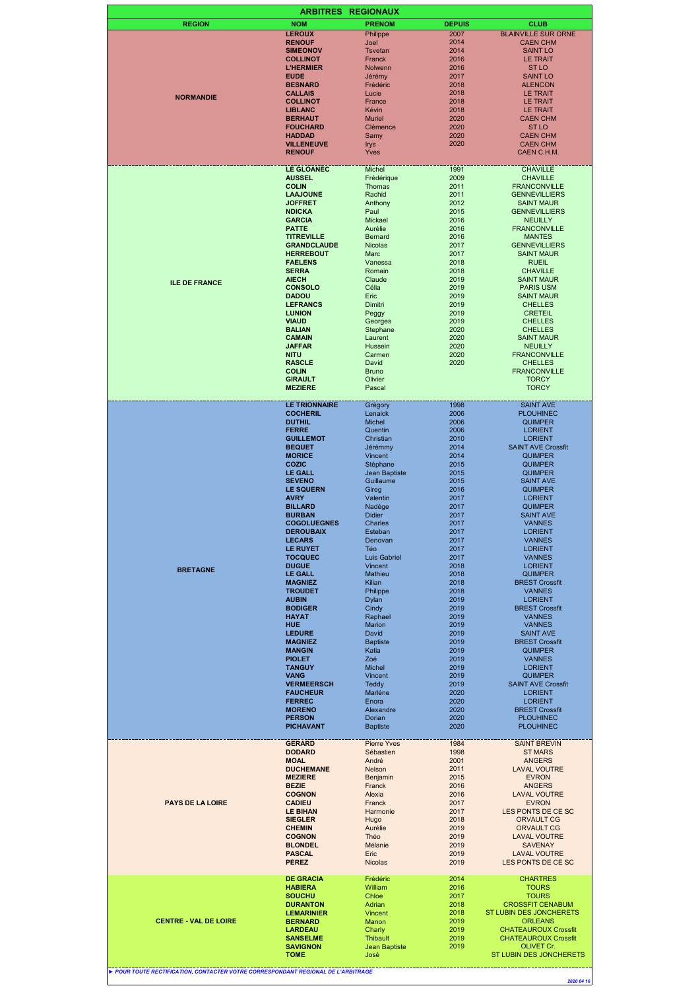|                                                                                 | <b>ARBITRES</b>                         | <b>REGIONAUX</b>                        |               |                                           |
|---------------------------------------------------------------------------------|-----------------------------------------|-----------------------------------------|---------------|-------------------------------------------|
| <b>REGION</b>                                                                   | <b>NOM</b>                              | <b>PRENOM</b>                           | <b>DEPUIS</b> | <b>CLUB</b>                               |
|                                                                                 | <b>LEROUX</b>                           | Philippe                                | 2007          | <b>BLAINVILLE SUR ORNE</b>                |
|                                                                                 | <b>RENOUF</b>                           | Joel                                    | 2014          | <b>CAEN CHM</b>                           |
|                                                                                 | <b>SIMEONOV</b>                         | <b>Tsvetan</b>                          | 2014          | <b>SAINT LO</b>                           |
|                                                                                 | <b>COLLINOT</b>                         | Franck                                  | 2016          | LE TRAIT                                  |
|                                                                                 | <b>L'HERMIER</b>                        | Nolwenn                                 | 2016          | <b>STLO</b>                               |
|                                                                                 | <b>EUDE</b>                             | Jérémy                                  | 2017          | <b>SAINT LO</b>                           |
|                                                                                 | <b>BESNARD</b><br><b>CALLAIS</b>        | Frédéric<br>Lucie                       | 2018<br>2018  | <b>ALENCON</b>                            |
| <b>NORMANDIE</b>                                                                | <b>COLLINOT</b>                         | France                                  | 2018          | LE TRAIT<br><b>LE TRAIT</b>               |
|                                                                                 | <b>LIBLANC</b>                          | Kévin                                   | 2018          | <b>LE TRAIT</b>                           |
|                                                                                 | <b>BERHAUT</b>                          | <b>Muriel</b>                           | 2020          | <b>CAEN CHM</b>                           |
|                                                                                 | <b>FOUCHARD</b>                         | Clémence                                | 2020          | <b>STLO</b>                               |
|                                                                                 | <b>HADDAD</b>                           | Samy                                    | 2020          | <b>CAEN CHM</b>                           |
|                                                                                 | <b>VILLENEUVE</b>                       | <b>Irys</b>                             | 2020          | <b>CAEN CHM</b>                           |
|                                                                                 | <b>RENOUF</b>                           | Yves                                    |               | CAEN C.H.M.                               |
|                                                                                 | <b>LE GLOANEC</b>                       | Michel                                  | 1991          |                                           |
|                                                                                 | <b>AUSSEL</b>                           | Frédérique                              | 2009          | <b>CHAVILLE</b><br><b>CHAVILLE</b>        |
|                                                                                 | <b>COLIN</b>                            | Thomas                                  | 2011          | <b>FRANCONVILLE</b>                       |
|                                                                                 | <b>LAAJOUNE</b>                         | Rachid                                  | 2011          | <b>GENNEVILLIERS</b>                      |
|                                                                                 | <b>JOFFRET</b>                          | Anthony                                 | 2012          | <b>SAINT MAUR</b>                         |
|                                                                                 | <b>NDICKA</b>                           | Paul                                    | 2015          | <b>GENNEVILLIERS</b>                      |
|                                                                                 | <b>GARCIA</b>                           | Mickael                                 | 2016          | <b>NEUILLY</b>                            |
|                                                                                 | <b>PATTE</b>                            | Aurélie                                 | 2016          | <b>FRANCONVILLE</b>                       |
|                                                                                 | <b>TITREVILLE</b>                       | <b>Bernard</b>                          | 2016          | <b>MANTES</b>                             |
|                                                                                 | <b>GRANDCLAUDE</b>                      | <b>Nicolas</b>                          | 2017          | <b>GENNEVILLIERS</b>                      |
|                                                                                 | <b>HERREBOUT</b><br><b>FAELENS</b>      | Marc<br>Vanessa                         | 2017<br>2018  | <b>SAINT MAUR</b><br><b>RUEIL</b>         |
|                                                                                 | <b>SERRA</b>                            | Romain                                  | 2018          | <b>CHAVILLE</b>                           |
|                                                                                 | <b>AIECH</b>                            | Claude                                  | 2019          | <b>SAINT MAUR</b>                         |
| <b>ILE DE FRANCE</b>                                                            | <b>CONSOLO</b>                          | Célia                                   | 2019          | <b>PARIS USM</b>                          |
|                                                                                 | <b>DADOU</b>                            | Eric                                    | 2019          | <b>SAINT MAUR</b>                         |
|                                                                                 | <b>LEFRANCS</b>                         | Dimitri                                 | 2019          | <b>CHELLES</b>                            |
|                                                                                 | <b>LUNION</b>                           | Peggy                                   | 2019          | <b>CRETEIL</b>                            |
|                                                                                 | <b>VIAUD</b>                            | Georges                                 | 2019          | <b>CHELLES</b>                            |
|                                                                                 | <b>BALIAN</b>                           | Stephane                                | 2020          | <b>CHELLES</b>                            |
|                                                                                 | <b>CAMAIN</b>                           | Laurent                                 | 2020          | <b>SAINT MAUR</b>                         |
|                                                                                 | <b>JAFFAR</b><br><b>NITU</b>            | <b>Hussein</b><br>Carmen                | 2020<br>2020  | <b>NEUILLY</b><br><b>FRANCONVILLE</b>     |
|                                                                                 | <b>RASCLE</b>                           | David                                   | 2020          | <b>CHELLES</b>                            |
|                                                                                 | <b>COLIN</b>                            | <b>Bruno</b>                            |               | <b>FRANCONVILLE</b>                       |
|                                                                                 | <b>GIRAULT</b>                          | Olivier                                 |               | <b>TORCY</b>                              |
|                                                                                 | <b>MEZIERE</b>                          | Pascal                                  |               | <b>TORCY</b>                              |
|                                                                                 |                                         |                                         |               |                                           |
|                                                                                 | <b>LE TRIONNAIRE</b><br><b>COCHERIL</b> | Grégory<br>Lenaick                      | 1998<br>2006  | <b>SAINT AVE</b>                          |
|                                                                                 | <b>DUTHIL</b>                           | Michel                                  | 2006          | <b>PLOUHINEC</b><br><b>QUIMPER</b>        |
|                                                                                 | <b>FERRE</b>                            | Quentin                                 | 2006          | <b>LORIENT</b>                            |
|                                                                                 | <b>GUILLEMOT</b>                        | Christian                               | 2010          | <b>LORIENT</b>                            |
|                                                                                 | <b>BEQUET</b>                           | Jérémmy                                 | 2014          | <b>SAINT AVE Crossfit</b>                 |
|                                                                                 | <b>MORICE</b>                           | Vincent                                 | 2014          | <b>QUIMPER</b>                            |
|                                                                                 | COZIC                                   | Stéphane                                | 2015          | <b>QUIMPER</b>                            |
|                                                                                 | <b>LE GALL</b>                          | Jean Baptiste                           | 2015          | <b>QUIMPER</b>                            |
|                                                                                 | <b>SEVENO</b>                           | Guillaume                               | 2015          | <b>SAINT AVE</b>                          |
|                                                                                 | <b>LE SQUERN</b><br><b>AVRY</b>         | Gireg                                   | 2016          | <b>QUIMPER</b><br><b>LORIENT</b>          |
|                                                                                 | <b>BILLARD</b>                          | Valentin<br>Nadége                      | 2017<br>2017  | <b>QUIMPER</b>                            |
|                                                                                 | <b>BURBAN</b>                           | <b>Didier</b>                           | 2017          | <b>SAINT AVE</b>                          |
|                                                                                 | <b>COGOLUEGNES</b>                      | Charles                                 | 2017          | <b>VANNES</b>                             |
|                                                                                 | <b>DEROUBAIX</b>                        | Esteban                                 | 2017          | <b>LORIENT</b>                            |
|                                                                                 | <b>LECARS</b>                           | Denovan                                 | 2017          | <b>VANNES</b>                             |
|                                                                                 | <b>LE RUYET</b>                         | Téo                                     | 2017          | <b>LORIENT</b>                            |
|                                                                                 | <b>TOCQUEC</b>                          | Luis Gabriel                            | 2017          | <b>VANNES</b>                             |
| <b>BRETAGNE</b>                                                                 | <b>DUGUE</b>                            | Vincent                                 | 2018          | <b>LORIENT</b>                            |
|                                                                                 | <b>LE GALL</b><br><b>MAGNIEZ</b>        | Mathieu<br>Kilian                       | 2018<br>2018  | <b>QUIMPER</b><br><b>BREST Crossfit</b>   |
|                                                                                 | <b>TROUDET</b>                          | Philippe                                | 2018          | <b>VANNES</b>                             |
|                                                                                 | <b>AUBIN</b>                            | Dylan                                   | 2019          | <b>LORIENT</b>                            |
|                                                                                 | <b>BODIGER</b>                          | Cindy                                   | 2019          | <b>BREST Crossfit</b>                     |
|                                                                                 | <b>HAYAT</b>                            | Raphael                                 | 2019          | <b>VANNES</b>                             |
|                                                                                 | <b>HUE</b>                              | <b>Marion</b>                           | 2019          | <b>VANNES</b>                             |
|                                                                                 | <b>LEDURE</b>                           | David                                   | 2019          | <b>SAINT AVE</b>                          |
|                                                                                 | <b>MAGNIEZ</b>                          | <b>Baptiste</b>                         | 2019          | <b>BREST Crossfit</b>                     |
|                                                                                 | <b>MANGIN</b>                           | Katia                                   | 2019          | <b>QUIMPER</b>                            |
|                                                                                 | <b>PIOLET</b><br><b>TANGUY</b>          | Zoé<br>Michel                           | 2019<br>2019  | <b>VANNES</b><br><b>LORIENT</b>           |
|                                                                                 | <b>VANG</b>                             | Vincent                                 | 2019          | <b>QUIMPER</b>                            |
|                                                                                 | <b>VERMEERSCH</b>                       | <b>Teddy</b>                            | 2019          | <b>SAINT AVE Crossfit</b>                 |
|                                                                                 | <b>FAUCHEUR</b>                         | Marléne                                 | 2020          | <b>LORIENT</b>                            |
|                                                                                 | <b>FERREC</b>                           | Enora                                   | 2020          | <b>LORIENT</b>                            |
|                                                                                 | <b>MORENO</b>                           | Alexandre                               | 2020          | <b>BREST Crossfit</b>                     |
|                                                                                 | <b>PERSON</b>                           | Dorian                                  | 2020          | <b>PLOUHINEC</b>                          |
|                                                                                 | <b>PICHAVANT</b>                        | <b>Baptiste</b>                         | 2020          | <b>PLOUHINEC</b>                          |
|                                                                                 | <b>GERARD</b>                           | <b>Pierre Yves</b>                      | 1984          | <b>SAINT BREVIN</b>                       |
|                                                                                 | <b>DODARD</b>                           | Sébastien                               | 1998          | <b>ST MARS</b>                            |
|                                                                                 | <b>MOAL</b>                             | André                                   | 2001          | <b>ANGERS</b>                             |
|                                                                                 | <b>DUCHEMANE</b>                        | Nelson                                  | 2011          | <b>LAVAL VOUTRE</b>                       |
|                                                                                 | <b>MEZIERE</b>                          | Benjamin                                | 2015          | <b>EVRON</b>                              |
|                                                                                 | <b>BEZIE</b><br><b>COGNON</b>           | Franck<br>Alexia                        | 2016<br>2016  | <b>ANGERS</b>                             |
| <b>PAYS DE LA LOIRE</b>                                                         | <b>CADIEU</b>                           | Franck                                  | 2017          | <b>LAVAL VOUTRE</b><br><b>EVRON</b>       |
|                                                                                 | <b>LE BIHAN</b>                         | Harmonie                                | 2017          | LES PONTS DE CE SC                        |
|                                                                                 | <b>SIEGLER</b>                          | Hugo                                    | 2018          | ORVAULT CG                                |
|                                                                                 | <b>CHEMIN</b>                           | Aurélie                                 | 2019          | ORVAULT CG                                |
|                                                                                 | <b>COGNON</b>                           | Théo                                    | 2019          | <b>LAVAL VOUTRE</b>                       |
|                                                                                 | <b>BLONDEL</b>                          | Mélanie                                 | 2019          | <b>SAVENAY</b>                            |
|                                                                                 | <b>PASCAL</b>                           | Eric                                    | 2019          | <b>LAVAL VOUTRE</b>                       |
|                                                                                 | <b>PEREZ</b>                            | <b>Nicolas</b>                          | 2019          | LES PONTS DE CE SC                        |
|                                                                                 | <b>DE GRACIA</b>                        | Frédéric                                | 2014          | <b>CHARTRES</b>                           |
|                                                                                 | <b>HABIERA</b>                          | William                                 | 2016          | <b>TOURS</b>                              |
|                                                                                 | <b>SOUCHU</b>                           | Chloe                                   | 2017          | <b>TOURS</b>                              |
|                                                                                 | <b>DURANTON</b>                         | Adrian                                  | 2018          | <b>CROSSFIT CENABUM</b>                   |
|                                                                                 | <b>LEMARINIER</b>                       | Vincent                                 | 2018          | ST LUBIN DES JONCHERETS                   |
| <b>CENTRE - VAL DE LOIRE</b>                                                    | <b>BERNARD</b>                          | Manon                                   | 2019          | <b>ORLEANS</b>                            |
|                                                                                 | <b>LARDEAU</b>                          | Charly                                  | 2019          | <b>CHATEAUROUX Crossfit</b>               |
|                                                                                 | <b>SANSELME</b><br><b>SAVIGNON</b>      | <b>Thibault</b><br><b>Jean Baptiste</b> | 2019<br>2019  | <b>CHATEAUROUX Crossfit</b><br>OLIVET Cr. |
|                                                                                 | <b>TOME</b>                             | José                                    |               | ST LUBIN DES JONCHERETS                   |
|                                                                                 |                                         |                                         |               |                                           |
| POUR TOUTE RECTIFICATION, CONTACTER VOTRE CORRESPONDANT REGIONAL DE L'ARBITRAGE |                                         |                                         |               |                                           |

*2020 04 16*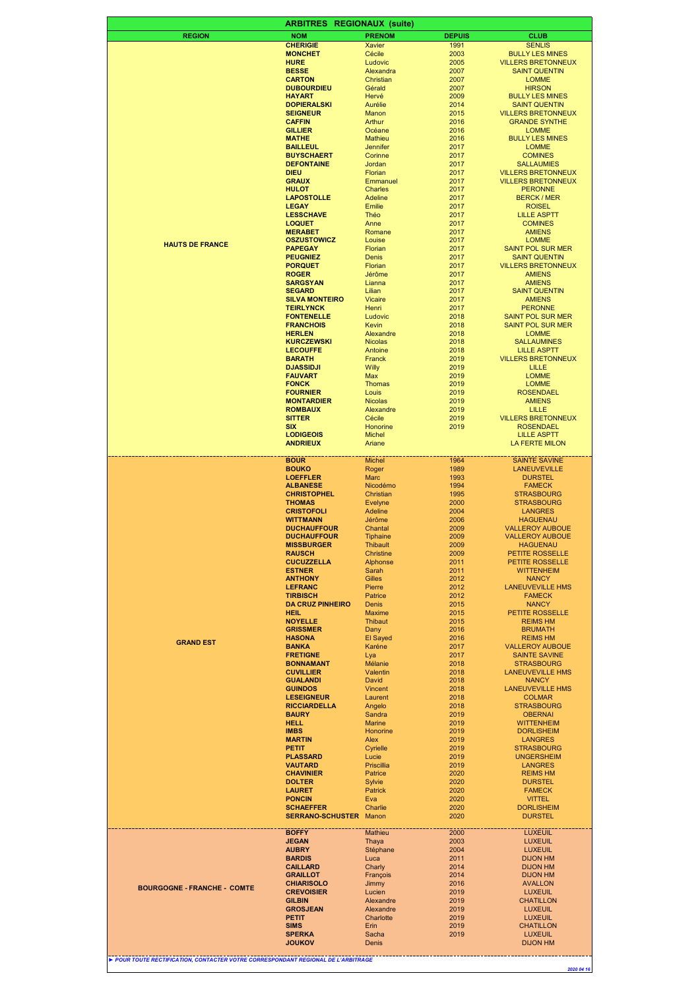|                                                                                 | <b>ARBITRES</b>                         | <b>REGIONAUX (suite)</b>           |               |                                                        |
|---------------------------------------------------------------------------------|-----------------------------------------|------------------------------------|---------------|--------------------------------------------------------|
| <b>REGION</b>                                                                   | <b>NOM</b>                              | <b>PRENOM</b>                      | <b>DEPUIS</b> | <b>CLUB</b>                                            |
|                                                                                 | <b>CHERIGIE</b>                         | <b>Xavier</b>                      | 1991          | <b>SENLIS</b>                                          |
|                                                                                 | <b>MONCHET</b>                          | Cécile                             | 2003          | <b>BULLY LES MINES</b>                                 |
|                                                                                 | <b>HURE</b>                             | Ludovic                            | 2005          | <b>VILLERS BRETONNEUX</b>                              |
|                                                                                 | <b>BESSE</b><br><b>CARTON</b>           | Alexandra<br>Christian             | 2007<br>2007  | <b>SAINT QUENTIN</b><br><b>LOMME</b>                   |
|                                                                                 | <b>DUBOURDIEU</b>                       | Gérald                             | 2007          | <b>HIRSON</b>                                          |
|                                                                                 | <b>HAYART</b>                           | Hervé                              | 2009          | <b>BULLY LES MINES</b>                                 |
|                                                                                 | <b>DOPIERALSKI</b>                      | Aurélie                            | 2014          | <b>SAINT QUENTIN</b>                                   |
|                                                                                 | <b>SEIGNEUR</b>                         | Manon                              | 2015          | <b>VILLERS BRETONNEUX</b>                              |
|                                                                                 | <b>CAFFIN</b><br><b>GILLIER</b>         | Arthur<br>Océane                   | 2016<br>2016  | <b>GRANDE SYNTHE</b><br><b>LOMME</b>                   |
|                                                                                 | <b>MATHE</b>                            | Mathieu                            | 2016          | <b>BULLY LES MINES</b>                                 |
|                                                                                 | <b>BAILLEUL</b>                         | Jennifer                           | 2017          | <b>LOMME</b>                                           |
|                                                                                 | <b>BUYSCHAERT</b>                       | Corinne                            | 2017          | <b>COMINES</b>                                         |
|                                                                                 | <b>DEFONTAINE</b>                       | Jordan<br>Florian                  | 2017          | <b>SALLAUMIES</b>                                      |
|                                                                                 | <b>DIEU</b><br><b>GRAUX</b>             | Emmanuel                           | 2017<br>2017  | <b>VILLERS BRETONNEUX</b><br><b>VILLERS BRETONNEUX</b> |
|                                                                                 | <b>HULOT</b>                            | Charles                            | 2017          | <b>PERONNE</b>                                         |
|                                                                                 | <b>LAPOSTOLLE</b>                       | Adeline                            | 2017          | <b>BERCK / MER</b>                                     |
|                                                                                 | <b>LEGAY</b>                            | Emilie                             | 2017          | <b>ROISEL</b>                                          |
|                                                                                 | <b>LESSCHAVE</b><br><b>LOQUET</b>       | Théo<br>Anne                       | 2017<br>2017  | <b>LILLE ASPTT</b>                                     |
|                                                                                 | <b>MERABET</b>                          | Romane                             | 2017          | <b>COMINES</b><br><b>AMIENS</b>                        |
|                                                                                 | <b>OSZUSTOWICZ</b>                      | Louise                             | 2017          | <b>LOMME</b>                                           |
| <b>HAUTS DE FRANCE</b>                                                          | <b>PAPEGAY</b>                          | Florian                            | 2017          | <b>SAINT POL SUR MER</b>                               |
|                                                                                 | <b>PEUGNIEZ</b>                         | Denis                              | 2017          | <b>SAINT QUENTIN</b>                                   |
|                                                                                 | <b>PORQUET</b>                          | Florian                            | 2017          | <b>VILLERS BRETONNEUX</b>                              |
|                                                                                 | <b>ROGER</b><br><b>SARGSYAN</b>         | Jérôme<br>Lianna                   | 2017<br>2017  | <b>AMIENS</b><br><b>AMIENS</b>                         |
|                                                                                 | <b>SEGARD</b>                           | Lilian                             | 2017          | <b>SAINT QUENTIN</b>                                   |
|                                                                                 | <b>SILVA MONTEIRO</b>                   | <b>Vicaire</b>                     | 2017          | <b>AMIENS</b>                                          |
|                                                                                 | <b>TEIRLYNCK</b>                        | Henri                              | 2017          | <b>PERONNE</b>                                         |
|                                                                                 | <b>FONTENELLE</b>                       | Ludovic<br>Kevin                   | 2018          | <b>SAINT POL SUR MER</b>                               |
|                                                                                 | <b>FRANCHOIS</b><br><b>HERLEN</b>       | Alexandre                          | 2018<br>2018  | <b>SAINT POL SUR MER</b><br><b>LOMME</b>               |
|                                                                                 | <b>KURCZEWSKI</b>                       | <b>Nicolas</b>                     | 2018          | <b>SALLAUMINES</b>                                     |
|                                                                                 | <b>LECOUFFE</b>                         | Antoine                            | 2018          | <b>LILLE ASPTT</b>                                     |
|                                                                                 | <b>BARATH</b>                           | Franck                             | 2019          | <b>VILLERS BRETONNEUX</b>                              |
|                                                                                 | <b>DJASSIDJI</b>                        | Willy                              | 2019          | <b>LILLE</b>                                           |
|                                                                                 | <b>FAUVART</b><br><b>FONCK</b>          | Max<br><b>Thomas</b>               | 2019<br>2019  | <b>LOMME</b><br><b>LOMME</b>                           |
|                                                                                 | <b>FOURNIER</b>                         | Louis                              | 2019          | <b>ROSENDAEL</b>                                       |
|                                                                                 | <b>MONTARDIER</b>                       | <b>Nicolas</b>                     | 2019          | <b>AMIENS</b>                                          |
|                                                                                 | <b>ROMBAUX</b>                          | Alexandre                          | 2019          | <b>LILLE</b>                                           |
|                                                                                 | <b>SITTER</b><br><b>SIX</b>             | Cécile<br>Honorine                 | 2019<br>2019  | <b>VILLERS BRETONNEUX</b><br><b>ROSENDAEL</b>          |
|                                                                                 | <b>LODIGEOIS</b>                        | <b>Michel</b>                      |               | <b>LILLE ASPTT</b>                                     |
|                                                                                 | <b>ANDRIEUX</b>                         | Ariane                             |               | LA FERTE MILON                                         |
|                                                                                 | <b>BOUR</b>                             | <b>Michel</b>                      | 1964          | <b>SAINTE SAVINE</b>                                   |
|                                                                                 | <b>BOUKO</b>                            | Roger                              | 1989          | <b>LANEUVEVILLE</b>                                    |
|                                                                                 | <b>LOEFFLER</b>                         | <b>Marc</b>                        | 1993          | <b>DURSTEL</b>                                         |
|                                                                                 | <b>ALBANESE</b>                         | Nicodémo                           | 1994          | <b>FAMECK</b>                                          |
|                                                                                 | <b>CHRISTOPHEL</b><br><b>THOMAS</b>     | Christian<br>Evelyne               | 1995<br>2000  | <b>STRASBOURG</b><br><b>STRASBOURG</b>                 |
|                                                                                 | <b>CRISTOFOLI</b>                       | Adeline                            | 2004          | <b>LANGRES</b>                                         |
|                                                                                 | <b>WITTMANN</b>                         | Jérôme                             | 2006          | <b>HAGUENAU</b>                                        |
|                                                                                 | <b>DUCHAUFFOUR</b>                      | Chantal                            | 2009          | <b>VALLEROY AUBOUE</b>                                 |
|                                                                                 | <b>DUCHAUFFOUR</b><br><b>MISSBURGER</b> | <b>Tiphaine</b><br><b>Inibault</b> | 2009<br>2009  | <b>VALLEROY AUBOUE</b><br><b>HAGUENAU</b>              |
|                                                                                 | <b>RAUSCH</b>                           | Christine                          | 2009          | <b>PETITE ROSSELLE</b>                                 |
|                                                                                 | <b>CUCUZZELLA</b>                       | Alphonse                           | 2011          | <b>PETITE ROSSELLE</b>                                 |
|                                                                                 | <b>ESTNER</b>                           | Sarah                              | 2011          | <b>WITTENHEIM</b>                                      |
|                                                                                 | <b>ANTHONY</b><br><b>LEFRANC</b>        | <b>Gilles</b><br>Pierre            | 2012<br>2012  | <b>NANCY</b><br><b>LANEUVEVILLE HMS</b>                |
|                                                                                 | <b>TIRBISCH</b>                         | Patrice                            | 2012          | <b>FAMECK</b>                                          |
|                                                                                 | <b>DA CRUZ PINHEIRO</b>                 | Denis                              | 2015          | <b>NANCY</b>                                           |
|                                                                                 | <b>HEIL</b>                             | <b>Maxime</b>                      | 2015          | <b>PETITE ROSSELLE</b>                                 |
|                                                                                 | <b>NOYELLE</b>                          | Thibaut                            | 2015          | <b>REIMS HM</b>                                        |
|                                                                                 | <b>GRISSMER</b><br><b>HASONA</b>        | Dany<br>El Sayed                   | 2016<br>2016  | <b>BRUMATH</b><br><b>REIMS HM</b>                      |
| <b>GRAND EST</b>                                                                | <b>BANKA</b>                            | Karéne                             | 2017          | <b>VALLEROY AUBOUE</b>                                 |
|                                                                                 | <b>FRETIGNE</b>                         | Lya                                | 2017          | <b>SAINTE SAVINE</b>                                   |
|                                                                                 | <b>BONNAMANT</b>                        | Mélanie                            | 2018          | <b>STRASBOURG</b>                                      |
|                                                                                 | <b>CUVILLIER</b><br><b>GUALANDI</b>     | Valentin<br>David                  | 2018<br>2018  | <b>LANEUVEVILLE HMS</b><br><b>NANCY</b>                |
|                                                                                 | <b>GUINDOS</b>                          | <b>Vincent</b>                     | 2018          | <b>LANEUVEVILLE HMS</b>                                |
|                                                                                 | <b>LESEIGNEUR</b>                       | Laurent                            | 2018          | <b>COLMAR</b>                                          |
|                                                                                 | <b>RICCIARDELLA</b>                     | Angelo                             | 2018          | <b>STRASBOURG</b>                                      |
|                                                                                 | <b>BAURY</b><br><b>HELL</b>             | Sandra<br><b>Marine</b>            | 2019<br>2019  | <b>OBERNAI</b><br><b>WITTENHEIM</b>                    |
|                                                                                 | <b>IMBS</b>                             | Honorine                           | 2019          | <b>DORLISHEIM</b>                                      |
|                                                                                 | <b>MARTIN</b>                           | Alex                               | 2019          | <b>LANGRES</b>                                         |
|                                                                                 | <b>PETIT</b>                            | Cyrielle                           | 2019          | <b>STRASBOURG</b>                                      |
|                                                                                 | <b>PLASSARD</b><br><b>VAUTARD</b>       | Lucie<br>Priscillia                | 2019<br>2019  | <b>UNGERSHEIM</b><br><b>LANGRES</b>                    |
|                                                                                 | <b>CHAVINIER</b>                        | Patrice                            | 2020          | <b>REIMS HM</b>                                        |
|                                                                                 | <b>DOLTER</b>                           | Sylvie                             | 2020          | <b>DURSTEL</b>                                         |
|                                                                                 | <b>LAURET</b>                           | Patrick                            | 2020          | <b>FAMECK</b>                                          |
|                                                                                 | <b>PONCIN</b><br><b>SCHAEFFER</b>       | Eva<br>Charlie                     | 2020<br>2020  | <b>VITTEL</b><br><b>DORLISHEIM</b>                     |
|                                                                                 | <b>SERRANO-SCHUSTER</b>                 | Manon                              | 2020          | <b>DURSTEL</b>                                         |
|                                                                                 | <b>BOFFY</b>                            | Mathieu                            | 2000          | <b>LUXEUIL</b>                                         |
|                                                                                 | <b>JEGAN</b>                            | Thaya                              | 2003          | <b>LUXEUIL</b>                                         |
|                                                                                 | <b>AUBRY</b>                            | Stéphane                           | 2004          | <b>LUXEUIL</b>                                         |
|                                                                                 | <b>BARDIS</b>                           | Luca                               | 2011          | <b>DIJON HM</b>                                        |
|                                                                                 | <b>CAILLARD</b><br><b>GRAILLOT</b>      | Charly<br>François                 | 2014<br>2014  | <b>DIJON HM</b><br><b>DIJON HM</b>                     |
| <b>BOURGOGNE - FRANCHE - COMTE</b>                                              | <b>CHIARISOLO</b>                       | Jimmy                              | 2016          | <b>AVALLON</b>                                         |
|                                                                                 | <b>CREVOISIER</b>                       | Lucien                             | 2019          | <b>LUXEUIL</b>                                         |
|                                                                                 | <b>GILBIN</b><br><b>GROSJEAN</b>        | Alexandre<br>Alexandre             | 2019<br>2019  | CHATILLON<br><b>LUXEUIL</b>                            |
|                                                                                 | PETIT                                   | Charlotte                          | 2019          | <b>LUXEUIL</b>                                         |
|                                                                                 | <b>SIMS</b>                             | Erin                               | 2019          | CHATILLON                                              |
|                                                                                 | <b>SPERKA</b><br><b>JOUKOV</b>          | Sacha<br>Denis                     | 2019          | <b>LUXEUIL</b><br><b>DIJON HM</b>                      |
|                                                                                 |                                         |                                    |               |                                                        |
| POUR TOUTE RECTIFICATION, CONTACTER VOTRE CORRESPONDANT REGIONAL DE L'ARBITRAGE |                                         |                                    |               |                                                        |
|                                                                                 |                                         |                                    |               | 2020 04 16                                             |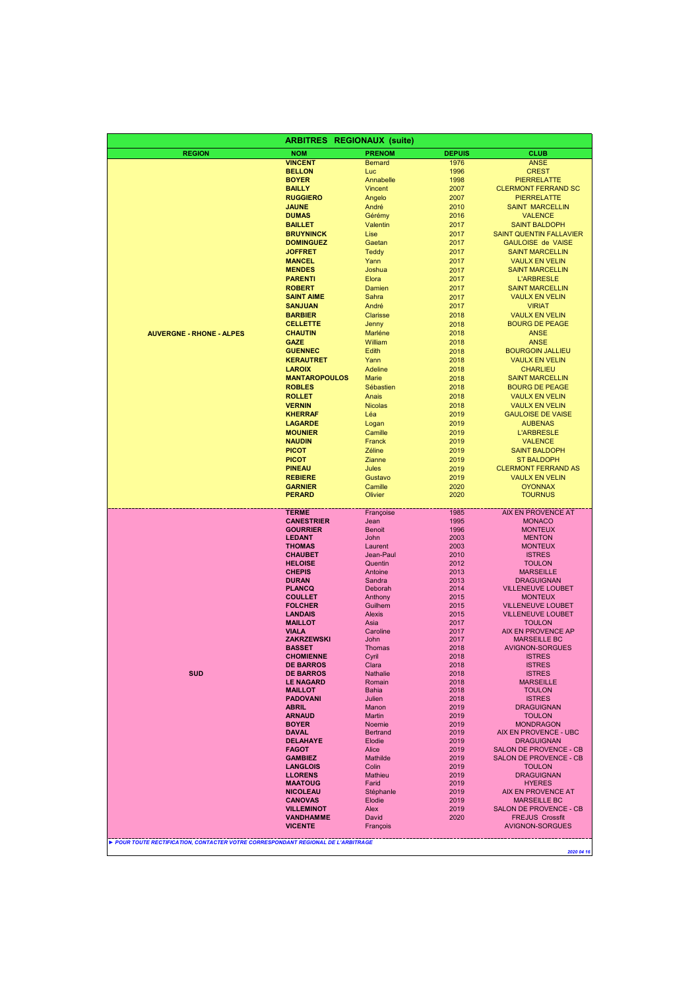|                                 | <b>ARBITRES</b>                     | <b>REGIONAUX (suite)</b> |               |                                                |
|---------------------------------|-------------------------------------|--------------------------|---------------|------------------------------------------------|
| <b>REGION</b>                   | <b>NOM</b>                          | <b>PRENOM</b>            | <b>DEPUIS</b> | <b>CLUB</b>                                    |
|                                 | <b>VINCENT</b>                      | <b>Bernard</b>           | 1976          | <b>ANSE</b>                                    |
|                                 | <b>BELLON</b>                       | Luc                      | 1996          | <b>CREST</b>                                   |
|                                 | <b>BOYER</b>                        | Annabelle                | 1998          | <b>PIERRELATTE</b>                             |
|                                 | <b>BAILLY</b>                       | <b>Vincent</b>           | 2007          | <b>CLERMONT FERRAND SC</b>                     |
|                                 | <b>RUGGIERO</b>                     | Angelo                   | 2007          | <b>PIERRELATTE</b>                             |
|                                 | <b>JAUNE</b><br><b>DUMAS</b>        | André<br>Gérémy          | 2010<br>2016  | <b>SAINT MARCELLIN</b><br><b>VALENCE</b>       |
|                                 | <b>BAILLET</b>                      | Valentin                 | 2017          | <b>SAINT BALDOPH</b>                           |
|                                 | <b>BRUYNINCK</b>                    | Lise                     | 2017          | SAINT QUENTIN FALLAVIER                        |
|                                 | <b>DOMINGUEZ</b>                    | Gaetan                   | 2017          | <b>GAULOISE de VAISE</b>                       |
|                                 | <b>JOFFRET</b>                      | <b>Teddy</b>             | 2017          | <b>SAINT MARCELLIN</b>                         |
|                                 | <b>MANCEL</b>                       | Yann                     | 2017          | <b>VAULX EN VELIN</b>                          |
|                                 | <b>MENDES</b>                       | Joshua                   | 2017          | <b>SAINT MARCELLIN</b>                         |
|                                 | <b>PARENTI</b>                      | Elora                    | 2017          | <b>L'ARBRESLE</b>                              |
|                                 | <b>ROBERT</b>                       | Damien                   | 2017          | <b>SAINT MARCELLIN</b>                         |
|                                 | <b>SAINT AIME</b><br><b>SANJUAN</b> | Sahra<br>André           | 2017<br>2017  | <b>VAULX EN VELIN</b><br><b>VIRIAT</b>         |
|                                 | <b>BARBIER</b>                      | <b>Clarisse</b>          | 2018          | <b>VAULX EN VELIN</b>                          |
|                                 | <b>CELLETTE</b>                     | Jenny                    | 2018          | <b>BOURG DE PEAGE</b>                          |
| <b>AUVERGNE - RHONE - ALPES</b> | <b>CHAUTIN</b>                      | Marléne                  | 2018          | <b>ANSE</b>                                    |
|                                 | <b>GAZE</b>                         | William                  | 2018          | <b>ANSE</b>                                    |
|                                 | <b>GUENNEC</b>                      | Edith                    | 2018          | <b>BOURGOIN JALLIEU</b>                        |
|                                 | <b>KERAUTRET</b>                    | Yann                     | 2018          | <b>VAULX EN VELIN</b>                          |
|                                 | <b>LAROIX</b>                       | <b>Adeline</b>           | 2018          | <b>CHARLIEU</b>                                |
|                                 | <b>MANTAROPOULOS</b>                | Marie                    | 2018          | <b>SAINT MARCELLIN</b>                         |
|                                 | <b>ROBLES</b><br><b>ROLLET</b>      | Sébastien                | 2018<br>2018  | <b>BOURG DE PEAGE</b>                          |
|                                 | <b>VERNIN</b>                       | Anais<br><b>Nicolas</b>  | 2018          | <b>VAULX EN VELIN</b><br><b>VAULX EN VELIN</b> |
|                                 | <b>KHERRAF</b>                      | Léa                      | 2019          | <b>GAULOISE DE VAISE</b>                       |
|                                 | <b>LAGARDE</b>                      | Logan                    | 2019          | <b>AUBENAS</b>                                 |
|                                 | <b>MOUNIER</b>                      | Camille                  | 2019          | <b>L'ARBRESLE</b>                              |
|                                 | <b>NAUDIN</b>                       | Franck                   | 2019          | <b>VALENCE</b>                                 |
|                                 | <b>PICOT</b>                        | Zéline                   | 2019          | <b>SAINT BALDOPH</b>                           |
|                                 | <b>PICOT</b>                        | Zianne                   | 2019          | <b>ST BALDOPH</b>                              |
|                                 | <b>PINEAU</b>                       | Jules                    | 2019          | <b>CLERMONT FERRAND AS</b>                     |
|                                 | <b>REBIERE</b><br><b>GARNIER</b>    | Gustavo<br>Camille       | 2019<br>2020  | <b>VAULX EN VELIN</b><br><b>OYONNAX</b>        |
|                                 | <b>PERARD</b>                       | Olivier                  | 2020          | <b>TOURNUS</b>                                 |
|                                 | <b>TERME</b>                        | Françoise                | 1985          | AIX EN PROVENCE AT                             |
|                                 | <b>CANESTRIER</b>                   | Jean                     | 1995          | <b>MONACO</b>                                  |
|                                 | <b>GOURRIER</b>                     | <b>Benoit</b>            | 1996          | <b>MONTEUX</b>                                 |
|                                 | <b>LEDANT</b><br><b>THOMAS</b>      | John<br>Laurent          | 2003<br>2003  | <b>MENTON</b><br><b>MONTEUX</b>                |
|                                 | <b>CHAUBET</b>                      | Jean-Paul                | 2010          | <b>ISTRES</b>                                  |
|                                 | <b>HELOISE</b>                      | Quentin                  | 2012          | <b>TOULON</b>                                  |
|                                 | <b>CHEPIS</b>                       | Antoine                  | 2013          | <b>MARSEILLE</b>                               |
|                                 | <b>DURAN</b>                        | Sandra                   | 2013          | <b>DRAGUIGNAN</b>                              |
|                                 | <b>PLANCQ</b><br><b>COULLET</b>     | Deborah<br>Anthony       | 2014<br>2015  | <b>VILLENEUVE LOUBET</b><br><b>MONTEUX</b>     |
|                                 | <b>FOLCHER</b>                      | Guilhem                  | 2015          | <b>VILLENEUVE LOUBET</b>                       |
|                                 | <b>LANDAIS</b>                      | <b>Alexis</b>            | 2015          | <b>VILLENEUVE LOUBET</b>                       |
|                                 | <b>MAILLOT</b>                      | Asia                     | 2017          | <b>TOULON</b>                                  |
|                                 | <b>VIALA</b>                        | Caroline                 | 2017          | AIX EN PROVENCE AP                             |
|                                 | <b>ZAKRZEWSKI</b><br><b>BASSET</b>  | John<br>Thomas           | 2017<br>2018  | MARSEILLE BC<br>AVIGNON-SORGUES                |
|                                 | <b>CHOMIENNE</b>                    | Cyril                    | 2018          | <b>ISTRES</b>                                  |
|                                 | <b>DE BARROS</b>                    | Clara                    | 2018          | <b>ISTRES</b>                                  |
| <b>SUD</b>                      | <b>DE BARROS</b>                    | <b>Nathalie</b>          | 2018          | <b>ISTRES</b>                                  |
|                                 | <b>LE NAGARD</b>                    | Romain                   | 2018          | <b>MARSEILLE</b>                               |
|                                 | <b>MAILLOT</b><br><b>PADOVANI</b>   | Bahia<br>Julien          | 2018<br>2018  | <b>TOULON</b><br><b>ISTRES</b>                 |
|                                 | <b>ABRIL</b>                        | Manon                    | 2019          | <b>DRAGUIGNAN</b>                              |
|                                 | <b>ARNAUD</b>                       | Martin                   | 2019          | <b>TOULON</b>                                  |
|                                 | <b>BOYER</b>                        | Noemie                   | 2019          | <b>MONDRAGON</b>                               |
|                                 | <b>DAVAL</b>                        | <b>Bertrand</b>          | 2019          | AIX EN PROVENCE - UBC<br><b>DRAGUIGNAN</b>     |
|                                 | <b>DELAHAYE</b><br><b>FAGOT</b>     | Elodie<br>Alice          | 2019<br>2019  | SALON DE PROVENCE - CB                         |
|                                 | <b>GAMBIEZ</b>                      | <b>Mathilde</b>          | 2019          | SALON DE PROVENCE - CB                         |
|                                 | <b>LANGLOIS</b>                     | Colin                    | 2019          | <b>TOULON</b>                                  |
|                                 |                                     | Mathieu                  | 2019          | <b>DRAGUIGNAN</b>                              |
|                                 | <b>LLORENS</b>                      |                          |               |                                                |
|                                 | <b>MAATOUG</b>                      | Farid                    | 2019          | <b>HYERES</b>                                  |
|                                 | <b>NICOLEAU</b>                     | Stéphanle                | 2019          | AIX EN PROVENCE AT<br><b>MARSEILLE BC</b>      |
|                                 | <b>CANOVAS</b><br><b>VILLEMINOT</b> | Elodie<br>Alex           | 2019<br>2019  | SALON DE PROVENCE - CB                         |
|                                 | <b>VANDHAMME</b>                    | David                    | 2020          | <b>FREJUS Crossfit</b>                         |
|                                 | <b>VICENTE</b>                      | François                 |               | <b>AVIGNON-SORGUES</b>                         |